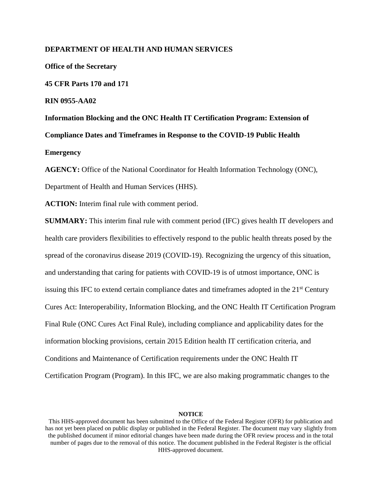### **DEPARTMENT OF HEALTH AND HUMAN SERVICES**

**Office of the Secretary 45 CFR Parts 170 and 171 RIN 0955-AA02 Information Blocking and the ONC Health IT Certification Program: Extension of Compliance Dates and Timeframes in Response to the COVID-19 Public Health Emergency**

**AGENCY:** Office of the National Coordinator for Health Information Technology (ONC), Department of Health and Human Services (HHS).

**ACTION:** Interim final rule with comment period.

**SUMMARY:** This interim final rule with comment period (IFC) gives health IT developers and health care providers flexibilities to effectively respond to the public health threats posed by the spread of the coronavirus disease 2019 (COVID-19). Recognizing the urgency of this situation, and understanding that caring for patients with COVID-19 is of utmost importance, ONC is issuing this IFC to extend certain compliance dates and timeframes adopted in the 21<sup>st</sup> Century Cures Act: Interoperability, Information Blocking, and the ONC Health IT Certification Program Final Rule (ONC Cures Act Final Rule), including compliance and applicability dates for the information blocking provisions, certain 2015 Edition health IT certification criteria, and Conditions and Maintenance of Certification requirements under the ONC Health IT Certification Program (Program). In this IFC, we are also making programmatic changes to the

This HHS-approved document has been submitted to the Office of the Federal Register (OFR) for publication and has not yet been placed on public display or published in the Federal Register. The document may vary slightly from the published document if minor editorial changes have been made during the OFR review process and in the total number of pages due to the removal of this notice. The document published in the Federal Register is the official HHS-approved document.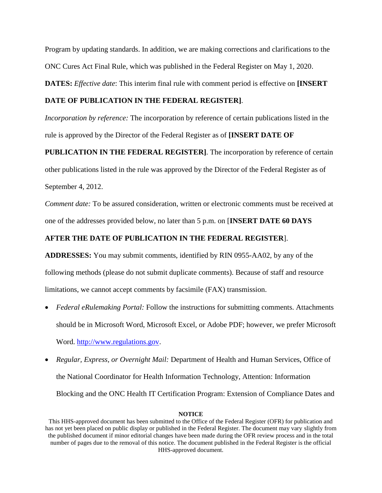Program by updating standards. In addition, we are making corrections and clarifications to the ONC Cures Act Final Rule, which was published in the Federal Register on May 1, 2020.

**DATES:** *Effective date*: This interim final rule with comment period is effective on **[INSERT** 

## **DATE OF PUBLICATION IN THE FEDERAL REGISTER]**.

*Incorporation by reference:* The incorporation by reference of certain publications listed in the rule is approved by the Director of the Federal Register as of **[INSERT DATE OF** 

**PUBLICATION IN THE FEDERAL REGISTER]**. The incorporation by reference of certain other publications listed in the rule was approved by the Director of the Federal Register as of September 4, 2012.

*Comment date:* To be assured consideration, written or electronic comments must be received at one of the addresses provided below, no later than 5 p.m. on [**INSERT DATE 60 DAYS** 

## **AFTER THE DATE OF PUBLICATION IN THE FEDERAL REGISTER**].

**ADDRESSES:** You may submit comments, identified by RIN 0955-AA02, by any of the following methods (please do not submit duplicate comments). Because of staff and resource limitations, we cannot accept comments by facsimile (FAX) transmission.

- *Federal eRulemaking Portal:* Follow the instructions for submitting comments. Attachments should be in Microsoft Word, Microsoft Excel, or Adobe PDF; however, we prefer Microsoft Word. [http://www.regulations.gov.](http://www.regulations.gov/)
- *Regular, Express, or Overnight Mail:* Department of Health and Human Services, Office of the National Coordinator for Health Information Technology, Attention: Information Blocking and the ONC Health IT Certification Program: Extension of Compliance Dates and

This HHS-approved document has been submitted to the Office of the Federal Register (OFR) for publication and has not yet been placed on public display or published in the Federal Register. The document may vary slightly from the published document if minor editorial changes have been made during the OFR review process and in the total number of pages due to the removal of this notice. The document published in the Federal Register is the official HHS-approved document.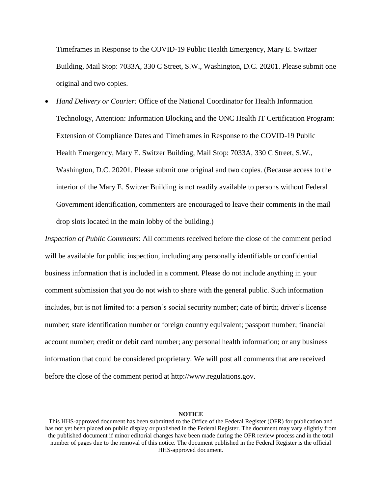Timeframes in Response to the COVID-19 Public Health Emergency, Mary E. Switzer Building, Mail Stop: 7033A, 330 C Street, S.W., Washington, D.C. 20201. Please submit one original and two copies.

 *Hand Delivery or Courier:* Office of the National Coordinator for Health Information Technology, Attention: Information Blocking and the ONC Health IT Certification Program: Extension of Compliance Dates and Timeframes in Response to the COVID-19 Public Health Emergency, Mary E. Switzer Building, Mail Stop: 7033A, 330 C Street, S.W., Washington, D.C. 20201. Please submit one original and two copies. (Because access to the interior of the Mary E. Switzer Building is not readily available to persons without Federal Government identification, commenters are encouraged to leave their comments in the mail drop slots located in the main lobby of the building.)

*Inspection of Public Comments*: All comments received before the close of the comment period will be available for public inspection, including any personally identifiable or confidential business information that is included in a comment. Please do not include anything in your comment submission that you do not wish to share with the general public. Such information includes, but is not limited to: a person's social security number; date of birth; driver's license number; state identification number or foreign country equivalent; passport number; financial account number; credit or debit card number; any personal health information; or any business information that could be considered proprietary. We will post all comments that are received before the close of the comment period at http://www.regulations.gov.

This HHS-approved document has been submitted to the Office of the Federal Register (OFR) for publication and has not yet been placed on public display or published in the Federal Register. The document may vary slightly from the published document if minor editorial changes have been made during the OFR review process and in the total number of pages due to the removal of this notice. The document published in the Federal Register is the official HHS-approved document.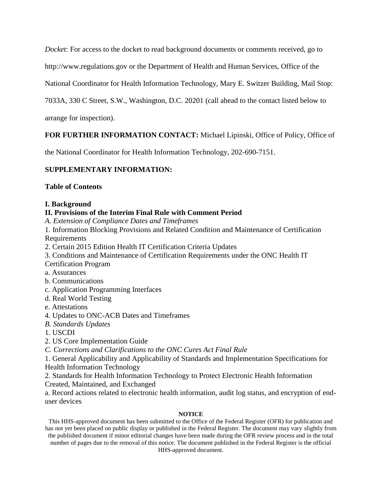*Docket*: For access to the docket to read background documents or comments received, go to

http://www.regulations.gov or the Department of Health and Human Services, Office of the

National Coordinator for Health Information Technology, Mary E. Switzer Building, Mail Stop:

7033A, 330 C Street, S.W., Washington, D.C. 20201 (call ahead to the contact listed below to

arrange for inspection).

# **FOR FURTHER INFORMATION CONTACT:** Michael Lipinski, Office of Policy, Office of

the National Coordinator for Health Information Technology, 202-690-7151.

# **SUPPLEMENTARY INFORMATION:**

# **Table of Contents**

# **I. Background**

# **II. Provisions of the Interim Final Rule with Comment Period**

*A. Extension of Compliance Dates and Timeframes* 

1. Information Blocking Provisions and Related Condition and Maintenance of Certification Requirements

2. Certain 2015 Edition Health IT Certification Criteria Updates

3. Conditions and Maintenance of Certification Requirements under the ONC Health IT

Certification Program

a. Assurances

b. Communications

c. Application Programming Interfaces

d. Real World Testing

e. Attestations

- 4. Updates to ONC-ACB Dates and Timeframes
- *B. Standards Updates*
- 1. USCDI

2. US Core Implementation Guide

*C. Corrections and Clarifications to the ONC Cures Act Final Rule*

1. General Applicability and Applicability of Standards and Implementation Specifications for Health Information Technology

2. Standards for Health Information Technology to Protect Electronic Health Information Created, Maintained, and Exchanged

a. Record actions related to electronic health information, audit log status, and encryption of enduser devices

## **NOTICE**

This HHS-approved document has been submitted to the Office of the Federal Register (OFR) for publication and has not yet been placed on public display or published in the Federal Register. The document may vary slightly from the published document if minor editorial changes have been made during the OFR review process and in the total number of pages due to the removal of this notice. The document published in the Federal Register is the official HHS-approved document.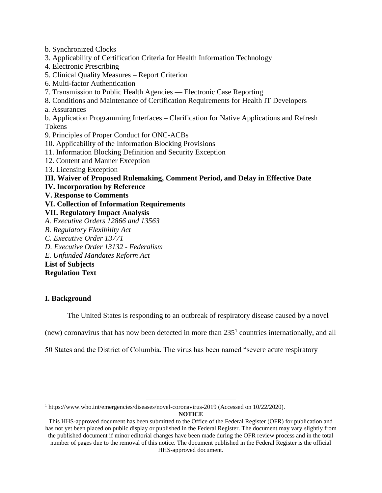b. Synchronized Clocks 3. Applicability of Certification Criteria for Health Information Technology 4. Electronic Prescribing 5. Clinical Quality Measures – Report Criterion 6. Multi-factor Authentication 7. Transmission to Public Health Agencies — Electronic Case Reporting 8. Conditions and Maintenance of Certification Requirements for Health IT Developers a. Assurances b. Application Programming Interfaces – Clarification for Native Applications and Refresh Tokens 9. Principles of Proper Conduct for ONC-ACBs 10. Applicability of the Information Blocking Provisions 11. Information Blocking Definition and Security Exception 12. Content and Manner Exception 13. Licensing Exception **III. Waiver of Proposed Rulemaking, Comment Period, and Delay in Effective Date IV. Incorporation by Reference V. Response to Comments VI. Collection of Information Requirements VII. Regulatory Impact Analysis** *A. Executive Orders 12866 and 13563 B. Regulatory Flexibility Act C. Executive Order 13771 D. Executive Order 13132 - Federalism E. Unfunded Mandates Reform Act* **List of Subjects**

**Regulation Text**

# **I. Background**

The United States is responding to an outbreak of respiratory disease caused by a novel

(new) coronavirus that has now been detected in more than  $235<sup>1</sup>$  countries internationally, and all

50 States and the District of Columbia. The virus has been named "severe acute respiratory

 $\overline{a}$ 

```
NOTICE
```
<sup>&</sup>lt;sup>1</sup> https://ww<u>w.who.int/emergencies/diseases/novel-coronavirus-2019</u> (Accessed on 10/22/2020).

This HHS-approved document has been submitted to the Office of the Federal Register (OFR) for publication and has not yet been placed on public display or published in the Federal Register. The document may vary slightly from the published document if minor editorial changes have been made during the OFR review process and in the total number of pages due to the removal of this notice. The document published in the Federal Register is the official HHS-approved document.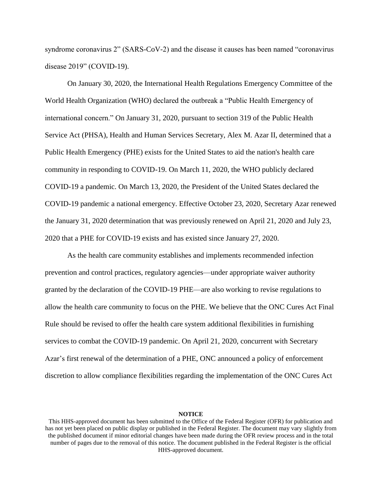syndrome coronavirus 2" (SARS-CoV-2) and the disease it causes has been named "coronavirus disease 2019" (COVID-19).

On January 30, 2020, the International Health Regulations Emergency Committee of the World Health Organization (WHO) declared the outbreak a "Public Health Emergency of international concern." On January 31, 2020, pursuant to section 319 of the Public Health Service Act (PHSA), Health and Human Services Secretary, Alex M. Azar II, determined that a Public Health Emergency (PHE) exists for the United States to aid the nation's health care community in responding to COVID-19. On March 11, 2020, the WHO publicly declared COVID-19 a pandemic. On March 13, 2020, the President of the United States declared the COVID-19 pandemic a national emergency. Effective October 23, 2020, Secretary Azar renewed the January 31, 2020 determination that was previously renewed on April 21, 2020 and July 23, 2020 that a PHE for COVID-19 exists and has existed since January 27, 2020.

As the health care community establishes and implements recommended infection prevention and control practices, regulatory agencies—under appropriate waiver authority granted by the declaration of the COVID-19 PHE—are also working to revise regulations to allow the health care community to focus on the PHE. We believe that the ONC Cures Act Final Rule should be revised to offer the health care system additional flexibilities in furnishing services to combat the COVID-19 pandemic. On April 21, 2020, concurrent with Secretary Azar's first renewal of the determination of a PHE, ONC announced a policy of enforcement discretion to allow compliance flexibilities regarding the implementation of the ONC Cures Act

This HHS-approved document has been submitted to the Office of the Federal Register (OFR) for publication and has not yet been placed on public display or published in the Federal Register. The document may vary slightly from the published document if minor editorial changes have been made during the OFR review process and in the total number of pages due to the removal of this notice. The document published in the Federal Register is the official HHS-approved document.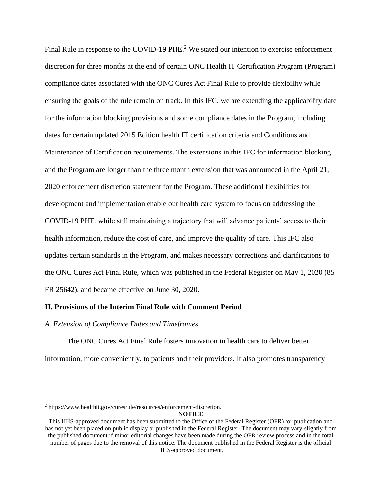Final Rule in response to the COVID-19 PHE.<sup>2</sup> We stated our intention to exercise enforcement discretion for three months at the end of certain ONC Health IT Certification Program (Program) compliance dates associated with the ONC Cures Act Final Rule to provide flexibility while ensuring the goals of the rule remain on track. In this IFC, we are extending the applicability date for the information blocking provisions and some compliance dates in the Program, including dates for certain updated 2015 Edition health IT certification criteria and Conditions and Maintenance of Certification requirements. The extensions in this IFC for information blocking and the Program are longer than the three month extension that was announced in the April 21, 2020 enforcement discretion statement for the Program. These additional flexibilities for development and implementation enable our health care system to focus on addressing the COVID-19 PHE, while still maintaining a trajectory that will advance patients' access to their health information, reduce the cost of care, and improve the quality of care. This IFC also updates certain standards in the Program, and makes necessary corrections and clarifications to the ONC Cures Act Final Rule, which was published in the Federal Register on May 1, 2020 (85 FR 25642), and became effective on June 30, 2020.

## **II. Provisions of the Interim Final Rule with Comment Period**

#### *A. Extension of Compliance Dates and Timeframes*

The ONC Cures Act Final Rule fosters innovation in health care to deliver better information, more conveniently, to patients and their providers. It also promotes transparency

 $\overline{a}$ 

<sup>2</sup> [https://www.healthit.gov/curesrule/resources/enforcement-discretion.](https://www.healthit.gov/curesrule/resources/enforcement-discretion)

This HHS-approved document has been submitted to the Office of the Federal Register (OFR) for publication and has not yet been placed on public display or published in the Federal Register. The document may vary slightly from the published document if minor editorial changes have been made during the OFR review process and in the total number of pages due to the removal of this notice. The document published in the Federal Register is the official HHS-approved document.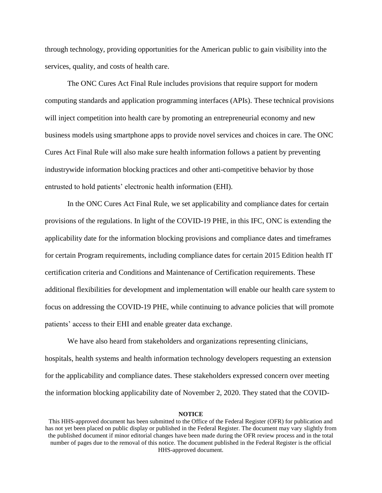through technology, providing opportunities for the American public to gain visibility into the services, quality, and costs of health care.

The ONC Cures Act Final Rule includes provisions that require support for modern computing standards and application programming interfaces (APIs). These technical provisions will inject competition into health care by promoting an entrepreneurial economy and new business models using smartphone apps to provide novel services and choices in care. The ONC Cures Act Final Rule will also make sure health information follows a patient by preventing industrywide information blocking practices and other anti-competitive behavior by those entrusted to hold patients' electronic health information (EHI).

In the ONC Cures Act Final Rule, we set applicability and compliance dates for certain provisions of the regulations. In light of the COVID-19 PHE, in this IFC, ONC is extending the applicability date for the information blocking provisions and compliance dates and timeframes for certain Program requirements, including compliance dates for certain 2015 Edition health IT certification criteria and Conditions and Maintenance of Certification requirements. These additional flexibilities for development and implementation will enable our health care system to focus on addressing the COVID-19 PHE, while continuing to advance policies that will promote patients' access to their EHI and enable greater data exchange.

We have also heard from stakeholders and organizations representing clinicians, hospitals, health systems and health information technology developers requesting an extension for the applicability and compliance dates. These stakeholders expressed concern over meeting the information blocking applicability date of November 2, 2020. They stated that the COVID-

This HHS-approved document has been submitted to the Office of the Federal Register (OFR) for publication and has not yet been placed on public display or published in the Federal Register. The document may vary slightly from the published document if minor editorial changes have been made during the OFR review process and in the total number of pages due to the removal of this notice. The document published in the Federal Register is the official HHS-approved document.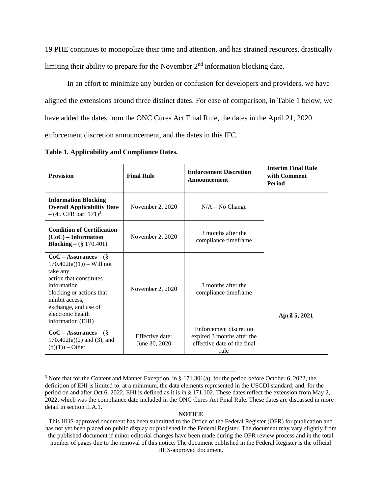19 PHE continues to monopolize their time and attention, and has strained resources, drastically limiting their ability to prepare for the November  $2<sup>nd</sup>$  information blocking date.

In an effort to minimize any burden or confusion for developers and providers, we have aligned the extensions around three distinct dates. For ease of comparison, in Table 1 below, we have added the dates from the ONC Cures Act Final Rule, the dates in the April 21, 2020 enforcement discretion announcement, and the dates in this IFC.

**Table 1. Applicability and Compliance Dates.**

| <b>Provision</b>                                                                                                                                                                                                              | <b>Final Rule</b>                | <b>Enforcement Discretion</b><br><b>Announcement</b>                                        | <b>Interim Final Rule</b><br>with Comment<br>Period |
|-------------------------------------------------------------------------------------------------------------------------------------------------------------------------------------------------------------------------------|----------------------------------|---------------------------------------------------------------------------------------------|-----------------------------------------------------|
| <b>Information Blocking</b><br><b>Overall Applicability Date</b><br>$-(45 \text{ CFR part } 171)^3$                                                                                                                           | November 2, 2020                 | $N/A - No Change$                                                                           |                                                     |
| <b>Condition of Certification</b><br>$(CoC)$ – Information<br><b>Blocking</b> – $(\S 170.401)$                                                                                                                                | November 2, 2020                 | 3 months after the<br>compliance timeframe                                                  |                                                     |
| $CoC - Assurances - (\S$<br>$170.402(a)(1)$ – Will not<br>take any<br>action that constitutes<br>information<br>blocking or actions that<br>inhibit access,<br>exchange, and use of<br>electronic health<br>information (EHI) | November 2, 2020                 | 3 months after the<br>compliance timeframe                                                  | April 5, 2021                                       |
| $CoC - Assurances - (\S$<br>$170.402(a)(2)$ and (3), and<br>$(b)(1))$ – Other                                                                                                                                                 | Effective date:<br>June 30, 2020 | Enforcement discretion<br>expired 3 months after the<br>effective date of the final<br>rule |                                                     |

<sup>3</sup> Note that for the Content and Manner Exception, in § 171.301(a), for the period before October 6, 2022, the definition of EHI is limited to, at a minimum, the data elements represented in the USCDI standard; and, for the period on and after Oct 6, 2022, EHI is defined as it is in § 171.102. These dates reflect the extension from May 2, 2022, which was the compliance date included in the ONC Cures Act Final Rule. These dates are discussed in more detail in section II.A.1.

 $\overline{a}$ 

This HHS-approved document has been submitted to the Office of the Federal Register (OFR) for publication and has not yet been placed on public display or published in the Federal Register. The document may vary slightly from the published document if minor editorial changes have been made during the OFR review process and in the total number of pages due to the removal of this notice. The document published in the Federal Register is the official HHS-approved document.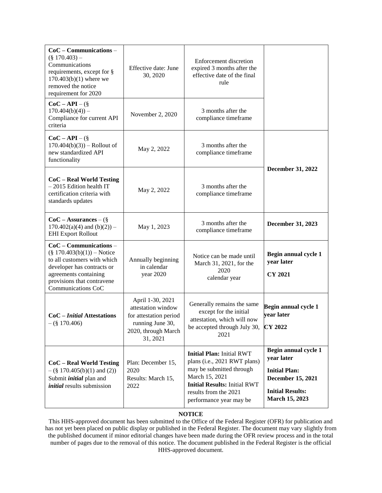| $CoC$ – Communications –<br>$(\$170.403) -$<br>Communications<br>requirements, except for §<br>$170.403(b)(1)$ where we<br>removed the notice<br>requirement for 2020                               | Effective date: June<br>30, 2020                                                                                        | <b>Enforcement discretion</b><br>expired 3 months after the<br>effective date of the final<br>rule                                                                                                        |                                                                                                                              |  |
|-----------------------------------------------------------------------------------------------------------------------------------------------------------------------------------------------------|-------------------------------------------------------------------------------------------------------------------------|-----------------------------------------------------------------------------------------------------------------------------------------------------------------------------------------------------------|------------------------------------------------------------------------------------------------------------------------------|--|
| $CoC - API - (\S$<br>$170.404(b)(4)$ ) –<br>Compliance for current API<br>criteria                                                                                                                  | November 2, 2020                                                                                                        | 3 months after the<br>compliance timeframe                                                                                                                                                                |                                                                                                                              |  |
| $CoC - API - (\S$<br>$170.404(b)(3)$ – Rollout of<br>new standardized API<br>functionality                                                                                                          | May 2, 2022                                                                                                             | 3 months after the<br>compliance timeframe                                                                                                                                                                |                                                                                                                              |  |
| $CoC - Real World Testing$<br>$-2015$ Edition health IT<br>certification criteria with<br>standards updates                                                                                         | May 2, 2022                                                                                                             | December 31, 2022<br>3 months after the<br>compliance timeframe                                                                                                                                           |                                                                                                                              |  |
| $CoC - Assurances - (\S$<br>$170.402(a)(4)$ and $(b)(2))$ –<br><b>EHI Export Rollout</b>                                                                                                            | May 1, 2023                                                                                                             | 3 months after the<br>compliance timeframe                                                                                                                                                                | December 31, 2023                                                                                                            |  |
| $CoC - Communications -$<br>$(\S 170.403(b)(1))$ – Notice<br>to all customers with which<br>developer has contracts or<br>agreements containing<br>provisions that contravene<br>Communications CoC | Annually beginning<br>in calendar<br>year 2020                                                                          | Notice can be made until<br>March 31, 2021, for the<br>2020<br>calendar year                                                                                                                              | Begin annual cycle 1<br>year later<br><b>CY 2021</b>                                                                         |  |
| $CoC$ – <i>Initial</i> Attestations<br>$(\$170.406)$                                                                                                                                                | April 1-30, 2021<br>attestation window<br>for attestation period<br>running June 30,<br>2020, through March<br>31, 2021 | Generally remains the same<br>except for the initial<br>attestation, which will now<br>be accepted through July 30,<br>2021                                                                               | Begin annual cycle 1<br>vear later<br><b>CY 2022</b>                                                                         |  |
| CoC - Real World Testing<br>$-(\S 170.405(b)(1)$ and (2))<br>Submit <i>initial</i> plan and<br><i>initial</i> results submission                                                                    | Plan: December 15,<br>2020<br>Results: March 15,<br>2022                                                                | <b>Initial Plan: Initial RWT</b><br>plans (i.e., 2021 RWT plans)<br>may be submitted through<br>March 15, 2021<br><b>Initial Results: Initial RWT</b><br>results from the 2021<br>performance year may be | Begin annual cycle 1<br>year later<br><b>Initial Plan:</b><br>December 15, 2021<br><b>Initial Results:</b><br>March 15, 2023 |  |

## **NOTICE**

This HHS-approved document has been submitted to the Office of the Federal Register (OFR) for publication and has not yet been placed on public display or published in the Federal Register. The document may vary slightly from the published document if minor editorial changes have been made during the OFR review process and in the total number of pages due to the removal of this notice. The document published in the Federal Register is the official HHS-approved document.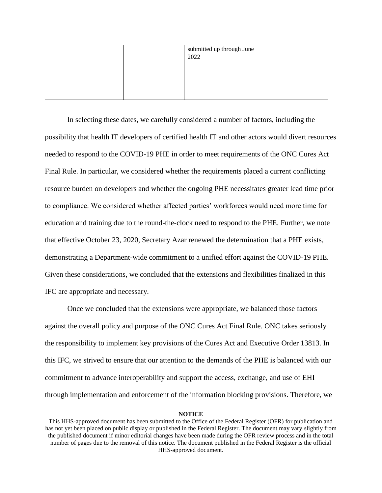|  | submitted up through June<br>2022 |  |
|--|-----------------------------------|--|
|  |                                   |  |
|  |                                   |  |
|  |                                   |  |

In selecting these dates, we carefully considered a number of factors, including the possibility that health IT developers of certified health IT and other actors would divert resources needed to respond to the COVID-19 PHE in order to meet requirements of the ONC Cures Act Final Rule. In particular, we considered whether the requirements placed a current conflicting resource burden on developers and whether the ongoing PHE necessitates greater lead time prior to compliance. We considered whether affected parties' workforces would need more time for education and training due to the round-the-clock need to respond to the PHE. Further, we note that effective October 23, 2020, Secretary Azar renewed the determination that a PHE exists, demonstrating a Department-wide commitment to a unified effort against the COVID-19 PHE. Given these considerations, we concluded that the extensions and flexibilities finalized in this IFC are appropriate and necessary.

Once we concluded that the extensions were appropriate, we balanced those factors against the overall policy and purpose of the ONC Cures Act Final Rule. ONC takes seriously the responsibility to implement key provisions of the Cures Act and Executive Order 13813. In this IFC, we strived to ensure that our attention to the demands of the PHE is balanced with our commitment to advance interoperability and support the access, exchange, and use of EHI through implementation and enforcement of the information blocking provisions. Therefore, we

This HHS-approved document has been submitted to the Office of the Federal Register (OFR) for publication and has not yet been placed on public display or published in the Federal Register. The document may vary slightly from the published document if minor editorial changes have been made during the OFR review process and in the total number of pages due to the removal of this notice. The document published in the Federal Register is the official HHS-approved document.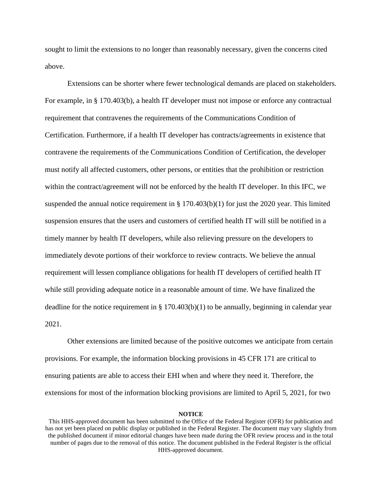sought to limit the extensions to no longer than reasonably necessary, given the concerns cited above.

Extensions can be shorter where fewer technological demands are placed on stakeholders. For example, in § 170.403(b), a health IT developer must not impose or enforce any contractual requirement that contravenes the requirements of the Communications Condition of Certification. Furthermore, if a health IT developer has contracts/agreements in existence that contravene the requirements of the Communications Condition of Certification, the developer must notify all affected customers, other persons, or entities that the prohibition or restriction within the contract/agreement will not be enforced by the health IT developer. In this IFC, we suspended the annual notice requirement in  $\S 170.403(b)(1)$  for just the 2020 year. This limited suspension ensures that the users and customers of certified health IT will still be notified in a timely manner by health IT developers, while also relieving pressure on the developers to immediately devote portions of their workforce to review contracts. We believe the annual requirement will lessen compliance obligations for health IT developers of certified health IT while still providing adequate notice in a reasonable amount of time. We have finalized the deadline for the notice requirement in  $\S 170.403(b)(1)$  to be annually, beginning in calendar year 2021.

Other extensions are limited because of the positive outcomes we anticipate from certain provisions. For example, the information blocking provisions in 45 CFR 171 are critical to ensuring patients are able to access their EHI when and where they need it. Therefore, the extensions for most of the information blocking provisions are limited to April 5, 2021, for two

This HHS-approved document has been submitted to the Office of the Federal Register (OFR) for publication and has not yet been placed on public display or published in the Federal Register. The document may vary slightly from the published document if minor editorial changes have been made during the OFR review process and in the total number of pages due to the removal of this notice. The document published in the Federal Register is the official HHS-approved document.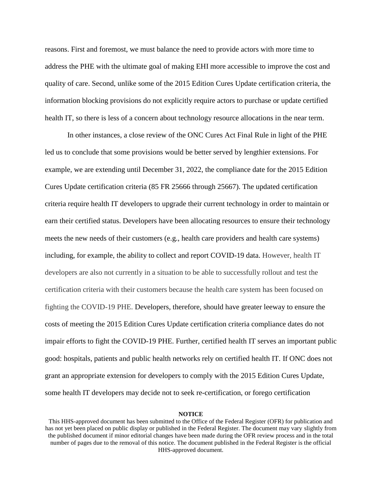reasons. First and foremost, we must balance the need to provide actors with more time to address the PHE with the ultimate goal of making EHI more accessible to improve the cost and quality of care. Second, unlike some of the 2015 Edition Cures Update certification criteria, the information blocking provisions do not explicitly require actors to purchase or update certified health IT, so there is less of a concern about technology resource allocations in the near term.

In other instances, a close review of the ONC Cures Act Final Rule in light of the PHE led us to conclude that some provisions would be better served by lengthier extensions. For example, we are extending until December 31, 2022, the compliance date for the 2015 Edition Cures Update certification criteria (85 FR 25666 through 25667). The updated certification criteria require health IT developers to upgrade their current technology in order to maintain or earn their certified status. Developers have been allocating resources to ensure their technology meets the new needs of their customers (e.g., health care providers and health care systems) including, for example, the ability to collect and report COVID-19 data. However, health IT developers are also not currently in a situation to be able to successfully rollout and test the certification criteria with their customers because the health care system has been focused on fighting the COVID-19 PHE. Developers, therefore, should have greater leeway to ensure the costs of meeting the 2015 Edition Cures Update certification criteria compliance dates do not impair efforts to fight the COVID-19 PHE. Further, certified health IT serves an important public good: hospitals, patients and public health networks rely on certified health IT. If ONC does not grant an appropriate extension for developers to comply with the 2015 Edition Cures Update, some health IT developers may decide not to seek re-certification, or forego certification

This HHS-approved document has been submitted to the Office of the Federal Register (OFR) for publication and has not yet been placed on public display or published in the Federal Register. The document may vary slightly from the published document if minor editorial changes have been made during the OFR review process and in the total number of pages due to the removal of this notice. The document published in the Federal Register is the official HHS-approved document.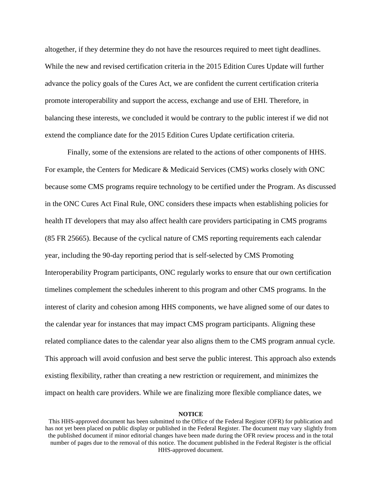altogether, if they determine they do not have the resources required to meet tight deadlines. While the new and revised certification criteria in the 2015 Edition Cures Update will further advance the policy goals of the Cures Act, we are confident the current certification criteria promote interoperability and support the access, exchange and use of EHI. Therefore, in balancing these interests, we concluded it would be contrary to the public interest if we did not extend the compliance date for the 2015 Edition Cures Update certification criteria.

Finally, some of the extensions are related to the actions of other components of HHS. For example, the Centers for Medicare & Medicaid Services (CMS) works closely with ONC because some CMS programs require technology to be certified under the Program. As discussed in the ONC Cures Act Final Rule, ONC considers these impacts when establishing policies for health IT developers that may also affect health care providers participating in CMS programs (85 FR 25665). Because of the cyclical nature of CMS reporting requirements each calendar year, including the 90-day reporting period that is self-selected by CMS Promoting Interoperability Program participants, ONC regularly works to ensure that our own certification timelines complement the schedules inherent to this program and other CMS programs. In the interest of clarity and cohesion among HHS components, we have aligned some of our dates to the calendar year for instances that may impact CMS program participants. Aligning these related compliance dates to the calendar year also aligns them to the CMS program annual cycle. This approach will avoid confusion and best serve the public interest. This approach also extends existing flexibility, rather than creating a new restriction or requirement, and minimizes the impact on health care providers. While we are finalizing more flexible compliance dates, we

This HHS-approved document has been submitted to the Office of the Federal Register (OFR) for publication and has not yet been placed on public display or published in the Federal Register. The document may vary slightly from the published document if minor editorial changes have been made during the OFR review process and in the total number of pages due to the removal of this notice. The document published in the Federal Register is the official HHS-approved document.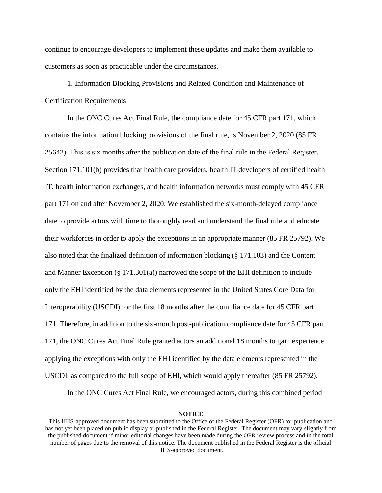continue to encourage developers to implement these updates and make them available to customers as soon as practicable under the circumstances.

1. Information Blocking Provisions and Related Condition and Maintenance of Certification Requirements

In the ONC Cures Act Final Rule, the compliance date for 45 CFR part 171, which contains the information blocking provisions of the final rule, is November 2, 2020 (85 FR 25642). This is six months after the publication date of the final rule in the Federal Register. Section 171.101(b) provides that health care providers, health IT developers of certified health IT, health information exchanges, and health information networks must comply with 45 CFR part 171 on and after November 2, 2020. We established the six-month-delayed compliance date to provide actors with time to thoroughly read and understand the final rule and educate their workforces in order to apply the exceptions in an appropriate manner (85 FR 25792). We also noted that the finalized definition of information blocking (§ 171.103) and the Content and Manner Exception  $(\S 171.301(a))$  narrowed the scope of the EHI definition to include only the EHI identified by the data elements represented in the United States Core Data for Interoperability (USCDI) for the first 18 months after the compliance date for 45 CFR part 171. Therefore, in addition to the six-month post-publication compliance date for 45 CFR part 171, the ONC Cures Act Final Rule granted actors an additional 18 months to gain experience applying the exceptions with only the EHI identified by the data elements represented in the USCDI, as compared to the full scope of EHI, which would apply thereafter (85 FR 25792).

In the ONC Cures Act Final Rule, we encouraged actors, during this combined period

This HHS-approved document has been submitted to the Office of the Federal Register (OFR) for publication and has not yet been placed on public display or published in the Federal Register. The document may vary slightly from the published document if minor editorial changes have been made during the OFR review process and in the total number of pages due to the removal of this notice. The document published in the Federal Register is the official HHS-approved document.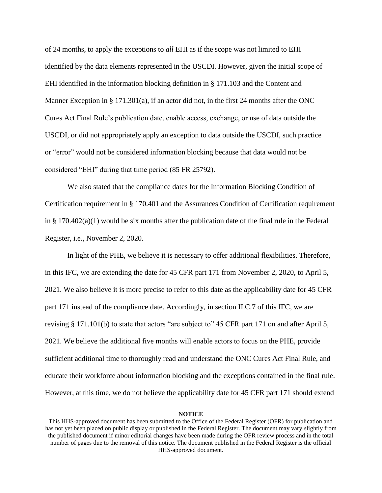of 24 months, to apply the exceptions to *all* EHI as if the scope was not limited to EHI identified by the data elements represented in the USCDI. However, given the initial scope of EHI identified in the information blocking definition in § 171.103 and the Content and Manner Exception in § 171.301(a), if an actor did not, in the first 24 months after the ONC Cures Act Final Rule's publication date, enable access, exchange, or use of data outside the USCDI, or did not appropriately apply an exception to data outside the USCDI, such practice or "error" would not be considered information blocking because that data would not be considered "EHI" during that time period (85 FR 25792).

We also stated that the compliance dates for the Information Blocking Condition of Certification requirement in § 170.401 and the Assurances Condition of Certification requirement in §  $170.402(a)(1)$  would be six months after the publication date of the final rule in the Federal Register, i.e., November 2, 2020.

In light of the PHE, we believe it is necessary to offer additional flexibilities. Therefore, in this IFC, we are extending the date for 45 CFR part 171 from November 2, 2020, to April 5, 2021. We also believe it is more precise to refer to this date as the applicability date for 45 CFR part 171 instead of the compliance date. Accordingly, in section II.C.7 of this IFC, we are revising § 171.101(b) to state that actors "are subject to" 45 CFR part 171 on and after April 5, 2021. We believe the additional five months will enable actors to focus on the PHE, provide sufficient additional time to thoroughly read and understand the ONC Cures Act Final Rule, and educate their workforce about information blocking and the exceptions contained in the final rule. However, at this time, we do not believe the applicability date for 45 CFR part 171 should extend

This HHS-approved document has been submitted to the Office of the Federal Register (OFR) for publication and has not yet been placed on public display or published in the Federal Register. The document may vary slightly from the published document if minor editorial changes have been made during the OFR review process and in the total number of pages due to the removal of this notice. The document published in the Federal Register is the official HHS-approved document.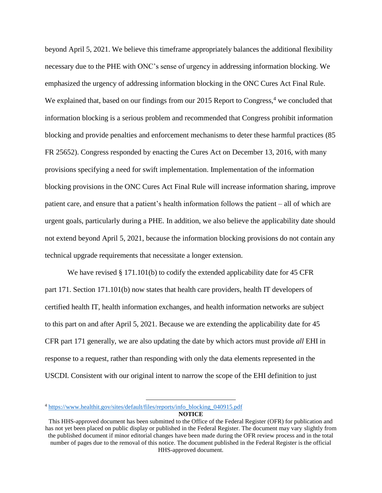beyond April 5, 2021. We believe this timeframe appropriately balances the additional flexibility necessary due to the PHE with ONC's sense of urgency in addressing information blocking. We emphasized the urgency of addressing information blocking in the ONC Cures Act Final Rule. We explained that, based on our findings from our 2015 Report to Congress,<sup>4</sup> we concluded that information blocking is a serious problem and recommended that Congress prohibit information blocking and provide penalties and enforcement mechanisms to deter these harmful practices (85 FR 25652). Congress responded by enacting the Cures Act on December 13, 2016, with many provisions specifying a need for swift implementation. Implementation of the information blocking provisions in the ONC Cures Act Final Rule will increase information sharing, improve patient care, and ensure that a patient's health information follows the patient – all of which are urgent goals, particularly during a PHE. In addition, we also believe the applicability date should not extend beyond April 5, 2021, because the information blocking provisions do not contain any technical upgrade requirements that necessitate a longer extension.

We have revised § 171.101(b) to codify the extended applicability date for 45 CFR part 171. Section 171.101(b) now states that health care providers, health IT developers of certified health IT, health information exchanges, and health information networks are subject to this part on and after April 5, 2021. Because we are extending the applicability date for 45 CFR part 171 generally, we are also updating the date by which actors must provide *all* EHI in response to a request, rather than responding with only the data elements represented in the USCDI. Consistent with our original intent to narrow the scope of the EHI definition to just

 $\overline{a}$ 

**NOTICE** <sup>4</sup> [https://www.healthit.gov/sites/default/files/reports/info\\_blocking\\_040915.pdf](https://www.healthit.gov/sites/default/files/reports/info_blocking_040915.pdf)

This HHS-approved document has been submitted to the Office of the Federal Register (OFR) for publication and has not yet been placed on public display or published in the Federal Register. The document may vary slightly from the published document if minor editorial changes have been made during the OFR review process and in the total number of pages due to the removal of this notice. The document published in the Federal Register is the official HHS-approved document.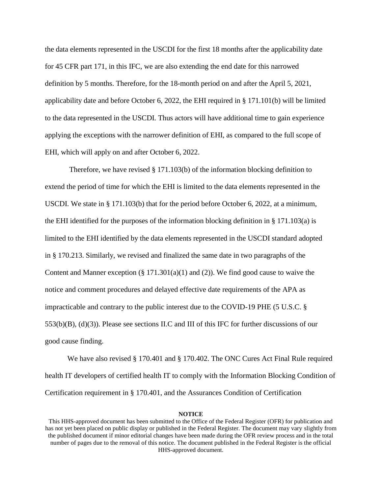the data elements represented in the USCDI for the first 18 months after the applicability date for 45 CFR part 171, in this IFC, we are also extending the end date for this narrowed definition by 5 months. Therefore, for the 18-month period on and after the April 5, 2021, applicability date and before October 6, 2022, the EHI required in § 171.101(b) will be limited to the data represented in the USCDI. Thus actors will have additional time to gain experience applying the exceptions with the narrower definition of EHI, as compared to the full scope of EHI, which will apply on and after October 6, 2022.

Therefore, we have revised  $\S 171.103(b)$  of the information blocking definition to extend the period of time for which the EHI is limited to the data elements represented in the USCDI. We state in § 171.103(b) that for the period before October 6, 2022, at a minimum, the EHI identified for the purposes of the information blocking definition in § 171.103(a) is limited to the EHI identified by the data elements represented in the USCDI standard adopted in § 170.213. Similarly, we revised and finalized the same date in two paragraphs of the Content and Manner exception  $(\S 171.301(a)(1)$  and (2)). We find good cause to waive the notice and comment procedures and delayed effective date requirements of the APA as impracticable and contrary to the public interest due to the COVID-19 PHE (5 U.S.C. § 553(b)(B), (d)(3)). Please see sections II.C and III of this IFC for further discussions of our good cause finding.

We have also revised § 170.401 and § 170.402. The ONC Cures Act Final Rule required health IT developers of certified health IT to comply with the Information Blocking Condition of Certification requirement in § 170.401, and the Assurances Condition of Certification

This HHS-approved document has been submitted to the Office of the Federal Register (OFR) for publication and has not yet been placed on public display or published in the Federal Register. The document may vary slightly from the published document if minor editorial changes have been made during the OFR review process and in the total number of pages due to the removal of this notice. The document published in the Federal Register is the official HHS-approved document.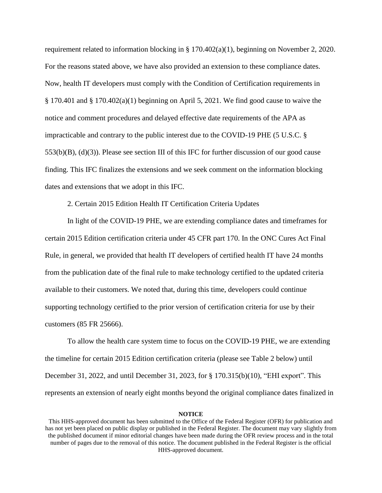requirement related to information blocking in § 170.402(a)(1), beginning on November 2, 2020. For the reasons stated above, we have also provided an extension to these compliance dates. Now, health IT developers must comply with the Condition of Certification requirements in § 170.401 and § 170.402(a)(1) beginning on April 5, 2021. We find good cause to waive the notice and comment procedures and delayed effective date requirements of the APA as impracticable and contrary to the public interest due to the COVID-19 PHE (5 U.S.C. § 553(b)(B), (d)(3)). Please see section III of this IFC for further discussion of our good cause finding. This IFC finalizes the extensions and we seek comment on the information blocking dates and extensions that we adopt in this IFC.

2. Certain 2015 Edition Health IT Certification Criteria Updates

In light of the COVID-19 PHE, we are extending compliance dates and timeframes for certain 2015 Edition certification criteria under 45 CFR part 170. In the ONC Cures Act Final Rule, in general, we provided that health IT developers of certified health IT have 24 months from the publication date of the final rule to make technology certified to the updated criteria available to their customers. We noted that, during this time, developers could continue supporting technology certified to the prior version of certification criteria for use by their customers (85 FR 25666).

To allow the health care system time to focus on the COVID-19 PHE, we are extending the timeline for certain 2015 Edition certification criteria (please see Table 2 below) until December 31, 2022, and until December 31, 2023, for § 170.315(b)(10), "EHI export". This represents an extension of nearly eight months beyond the original compliance dates finalized in

This HHS-approved document has been submitted to the Office of the Federal Register (OFR) for publication and has not yet been placed on public display or published in the Federal Register. The document may vary slightly from the published document if minor editorial changes have been made during the OFR review process and in the total number of pages due to the removal of this notice. The document published in the Federal Register is the official HHS-approved document.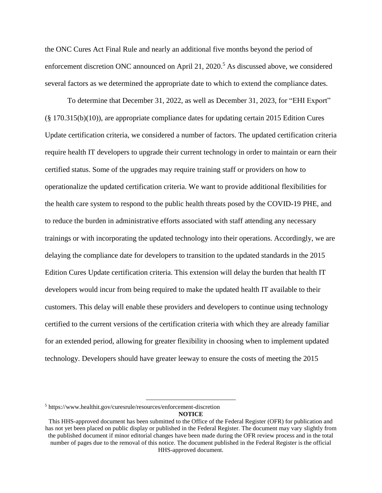the ONC Cures Act Final Rule and nearly an additional five months beyond the period of enforcement discretion ONC announced on April 21, 2020. <sup>5</sup> As discussed above, we considered several factors as we determined the appropriate date to which to extend the compliance dates.

To determine that December 31, 2022, as well as December 31, 2023, for "EHI Export" (§ 170.315(b)(10)), are appropriate compliance dates for updating certain 2015 Edition Cures Update certification criteria, we considered a number of factors. The updated certification criteria require health IT developers to upgrade their current technology in order to maintain or earn their certified status. Some of the upgrades may require training staff or providers on how to operationalize the updated certification criteria. We want to provide additional flexibilities for the health care system to respond to the public health threats posed by the COVID-19 PHE, and to reduce the burden in administrative efforts associated with staff attending any necessary trainings or with incorporating the updated technology into their operations. Accordingly, we are delaying the compliance date for developers to transition to the updated standards in the 2015 Edition Cures Update certification criteria. This extension will delay the burden that health IT developers would incur from being required to make the updated health IT available to their customers. This delay will enable these providers and developers to continue using technology certified to the current versions of the certification criteria with which they are already familiar for an extended period, allowing for greater flexibility in choosing when to implement updated technology. Developers should have greater leeway to ensure the costs of meeting the 2015

 $\overline{a}$ 

<sup>5</sup> https://www.healthit.gov/curesrule/resources/enforcement-discretion

This HHS-approved document has been submitted to the Office of the Federal Register (OFR) for publication and has not yet been placed on public display or published in the Federal Register. The document may vary slightly from the published document if minor editorial changes have been made during the OFR review process and in the total number of pages due to the removal of this notice. The document published in the Federal Register is the official HHS-approved document.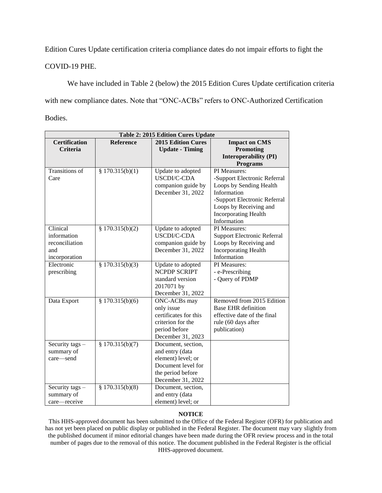Edition Cures Update certification criteria compliance dates do not impair efforts to fight the

COVID-19 PHE.

We have included in Table 2 (below) the 2015 Edition Cures Update certification criteria with new compliance dates. Note that "ONC-ACBs" refers to ONC-Authorized Certification Bodies.

| <b>Table 2: 2015 Edition Cures Update</b>                         |                   |                                                                                                                             |                                                                                                                                                                                                |
|-------------------------------------------------------------------|-------------------|-----------------------------------------------------------------------------------------------------------------------------|------------------------------------------------------------------------------------------------------------------------------------------------------------------------------------------------|
| <b>Certification</b><br><b>Criteria</b>                           | <b>Reference</b>  | <b>2015 Edition Cures</b><br><b>Update - Timing</b>                                                                         | <b>Impact on CMS</b><br>Promoting<br><b>Interoperability (PI)</b><br><b>Programs</b>                                                                                                           |
| <b>Transitions</b> of<br>Care                                     | § $170.315(b)(1)$ | Update to adopted<br>USCDI/C-CDA<br>companion guide by<br>December 31, 2022                                                 | PI Measures:<br>-Support Electronic Referral<br>Loops by Sending Health<br>Information<br>-Support Electronic Referral<br>Loops by Receiving and<br><b>Incorporating Health</b><br>Information |
| Clinical<br>information<br>reconciliation<br>and<br>incorporation | § $170.315(b)(2)$ | Update to adopted<br>USCDI/C-CDA<br>companion guide by<br>December 31, 2022                                                 | PI Measures:<br><b>Support Electronic Referral</b><br>Loops by Receiving and<br><b>Incorporating Health</b><br>Information                                                                     |
| Electronic<br>prescribing                                         | \$170.315(b)(3)   | Update to adopted<br><b>NCPDP SCRIPT</b><br>standard version<br>2017071 by<br>December 31, 2022                             | PI Measures:<br>- e-Prescribing<br>- Query of PDMP                                                                                                                                             |
| Data Export                                                       | \$170.315(b)(6)   | ONC-ACBs may<br>only issue<br>certificates for this<br>criterion for the<br>period before<br>December 31, 2023              | Removed from 2015 Edition<br><b>Base EHR</b> definition<br>effective date of the final<br>rule (60 days after<br>publication)                                                                  |
| Security tags -<br>summary of<br>care-send                        | \$170.315(b)(7)   | Document, section,<br>and entry (data<br>element) level; or<br>Document level for<br>the period before<br>December 31, 2022 |                                                                                                                                                                                                |
| Security tags -<br>summary of<br>care-receive                     | § $170.315(b)(8)$ | Document, section,<br>and entry (data<br>element) level; or                                                                 |                                                                                                                                                                                                |

## **NOTICE**

This HHS-approved document has been submitted to the Office of the Federal Register (OFR) for publication and has not yet been placed on public display or published in the Federal Register. The document may vary slightly from the published document if minor editorial changes have been made during the OFR review process and in the total number of pages due to the removal of this notice. The document published in the Federal Register is the official HHS-approved document.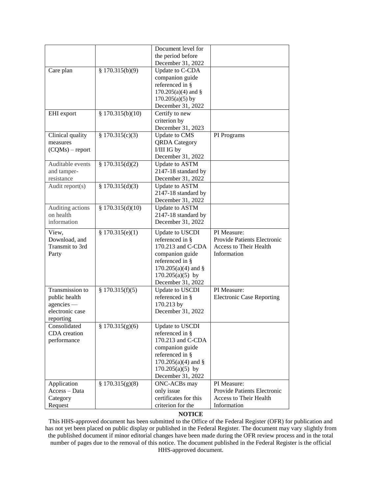|                     |                   | Document level for                         |                                       |
|---------------------|-------------------|--------------------------------------------|---------------------------------------|
|                     |                   | the period before                          |                                       |
|                     |                   | December 31, 2022                          |                                       |
| Care plan           | \$170.315(b)(9)   | Update to C-CDA                            |                                       |
|                     |                   | companion guide                            |                                       |
|                     |                   | referenced in §                            |                                       |
|                     |                   |                                            |                                       |
|                     |                   | $170.205(a)(4)$ and §                      |                                       |
|                     |                   | $170.205(a)(5)$ by                         |                                       |
|                     |                   | December 31, 2022                          |                                       |
| EHI export          | \$170.315(b)(10)  | Certify to new                             |                                       |
|                     |                   | criterion by                               |                                       |
|                     |                   | December 31, 2023                          |                                       |
| Clinical quality    | \$170.315(c)(3)   | <b>Update to CMS</b>                       | PI Programs                           |
| measures            |                   | <b>QRDA</b> Category                       |                                       |
| $(CQMs)$ – report   |                   | I/III IG by                                |                                       |
|                     |                   | December 31, 2022                          |                                       |
| Auditable events    | \$170.315(d)(2)   | Update to ASTM                             |                                       |
| and tamper-         |                   | 2147-18 standard by                        |                                       |
| resistance          |                   | December 31, 2022                          |                                       |
| Audit report(s)     | § $170.315(d)(3)$ | Update to ASTM                             |                                       |
|                     |                   | 2147-18 standard by                        |                                       |
|                     |                   | December 31, 2022                          |                                       |
|                     |                   |                                            |                                       |
| Auditing actions    | \$170.315(d)(10)  | <b>Update to ASTM</b>                      |                                       |
| on health           |                   | 2147-18 standard by                        |                                       |
| information         |                   | December 31, 2022                          |                                       |
| View,               | \$170.315(e)(1)   | Update to USCDI                            | PI Measure:                           |
|                     |                   |                                            |                                       |
|                     |                   |                                            |                                       |
| Download, and       |                   | referenced in §                            | Provide Patients Electronic           |
| Transmit to 3rd     |                   | 170.213 and C-CDA                          | <b>Access to Their Health</b>         |
| Party               |                   | companion guide                            | Information                           |
|                     |                   | referenced in §                            |                                       |
|                     |                   | $170.205(a)(4)$ and §                      |                                       |
|                     |                   | $170.205(a)(5)$ by                         |                                       |
|                     |                   | December 31, 2022                          |                                       |
| Transmission to     | \$170.315(f)(5)   | Update to USCDI                            | PI Measure:                           |
| public health       |                   | referenced in §                            | <b>Electronic Case Reporting</b>      |
| agencies —          |                   | 170.213 by                                 |                                       |
| electronic case     |                   | December 31, 2022                          |                                       |
| reporting           |                   |                                            |                                       |
| Consolidated        | \$170.315(g)(6)   | <b>Update to USCDI</b>                     |                                       |
| CDA creation        |                   | referenced in §                            |                                       |
| performance         |                   | 170.213 and C-CDA                          |                                       |
|                     |                   | companion guide                            |                                       |
|                     |                   | referenced in §                            |                                       |
|                     |                   |                                            |                                       |
|                     |                   | $170.205(a)(4)$ and §                      |                                       |
|                     |                   | $170.205(a)(5)$ by                         |                                       |
|                     |                   | December 31, 2022                          | PI Measure:                           |
| Application         | \$170.315(g)(8)   | ONC-ACBs may                               |                                       |
| Access - Data       |                   | only issue                                 | Provide Patients Electronic           |
| Category<br>Request |                   | certificates for this<br>criterion for the | Access to Their Health<br>Information |

### **NOTICE**

This HHS-approved document has been submitted to the Office of the Federal Register (OFR) for publication and has not yet been placed on public display or published in the Federal Register. The document may vary slightly from the published document if minor editorial changes have been made during the OFR review process and in the total number of pages due to the removal of this notice. The document published in the Federal Register is the official HHS-approved document.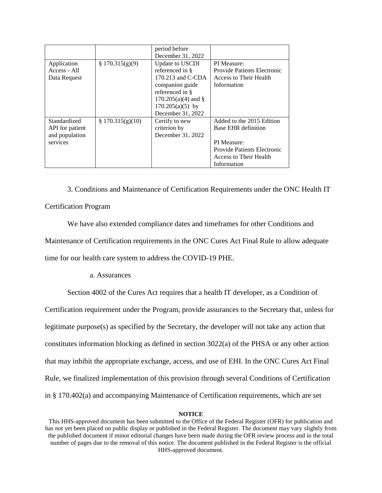|                                                               |                  | period before<br>December 31, 2022                                                                                                                                |                                                                                                                                                |
|---------------------------------------------------------------|------------------|-------------------------------------------------------------------------------------------------------------------------------------------------------------------|------------------------------------------------------------------------------------------------------------------------------------------------|
| Application<br>Access - All<br>Data Request                   | \$170.315(g)(9)  | Update to USCDI<br>referenced in §<br>170.213 and C-CDA<br>companion guide<br>referenced in §<br>$170.205(a)(4)$ and §<br>$170.205(a)(5)$ by<br>December 31, 2022 | PI Measure:<br><b>Provide Patients Electronic</b><br>Access to Their Health<br>Information                                                     |
| Standardized<br>API for patient<br>and population<br>services | \$170.315(g)(10) | Certify to new<br>criterion by<br>December 31, 2022                                                                                                               | Added to the 2015 Edition<br>Base EHR definition<br>PI Measure:<br><b>Provide Patients Electronic</b><br>Access to Their Health<br>Information |

3. Conditions and Maintenance of Certification Requirements under the ONC Health IT Certification Program

We have also extended compliance dates and timeframes for other Conditions and Maintenance of Certification requirements in the ONC Cures Act Final Rule to allow adequate time for our health care system to address the COVID-19 PHE.

## a. Assurances

Section 4002 of the Cures Act requires that a health IT developer, as a Condition of Certification requirement under the Program, provide assurances to the Secretary that, unless for legitimate purpose(s) as specified by the Secretary, the developer will not take any action that constitutes information blocking as defined in section 3022(a) of the PHSA or any other action that may inhibit the appropriate exchange, access, and use of EHI. In the ONC Cures Act Final Rule, we finalized implementation of this provision through several Conditions of Certification in § 170.402(a) and accompanying Maintenance of Certification requirements, which are set

This HHS-approved document has been submitted to the Office of the Federal Register (OFR) for publication and has not yet been placed on public display or published in the Federal Register. The document may vary slightly from the published document if minor editorial changes have been made during the OFR review process and in the total number of pages due to the removal of this notice. The document published in the Federal Register is the official HHS-approved document.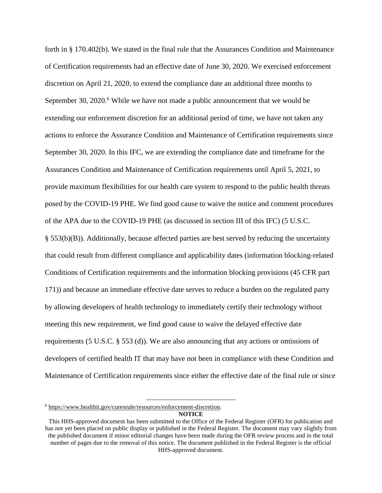forth in § 170.402(b). We stated in the final rule that the Assurances Condition and Maintenance of Certification requirements had an effective date of June 30, 2020. We exercised enforcement discretion on April 21, 2020, to extend the compliance date an additional three months to September 30,  $2020$ .<sup>6</sup> While we have not made a public announcement that we would be extending our enforcement discretion for an additional period of time, we have not taken any actions to enforce the Assurance Condition and Maintenance of Certification requirements since September 30, 2020. In this IFC, we are extending the compliance date and timeframe for the Assurances Condition and Maintenance of Certification requirements until April 5, 2021, to provide maximum flexibilities for our health care system to respond to the public health threats posed by the COVID-19 PHE. We find good cause to waive the notice and comment procedures of the APA due to the COVID-19 PHE (as discussed in section III of this IFC) (5 U.S.C.  $\S$  553(b)(B)). Additionally, because affected parties are best served by reducing the uncertainty that could result from different compliance and applicability dates (information blocking-related Conditions of Certification requirements and the information blocking provisions (45 CFR part 171)) and because an immediate effective date serves to reduce a burden on the regulated party by allowing developers of health technology to immediately certify their technology without meeting this new requirement, we find good cause to waive the delayed effective date requirements (5 U.S.C. § 553 (d)). We are also announcing that any actions or omissions of developers of certified health IT that may have not been in compliance with these Condition and Maintenance of Certification requirements since either the effective date of the final rule or since

<sup>6</sup> [https://www.healthit.gov/curesrule/resources/enforcement-discretion.](https://www.healthit.gov/curesrule/resources/enforcement-discretion)

 $\overline{a}$ 

This HHS-approved document has been submitted to the Office of the Federal Register (OFR) for publication and has not yet been placed on public display or published in the Federal Register. The document may vary slightly from the published document if minor editorial changes have been made during the OFR review process and in the total number of pages due to the removal of this notice. The document published in the Federal Register is the official HHS-approved document.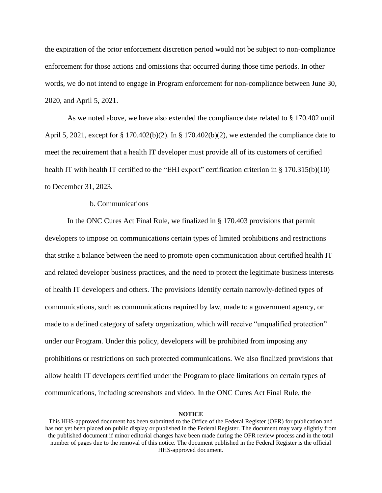the expiration of the prior enforcement discretion period would not be subject to non-compliance enforcement for those actions and omissions that occurred during those time periods. In other words, we do not intend to engage in Program enforcement for non-compliance between June 30, 2020, and April 5, 2021.

As we noted above, we have also extended the compliance date related to § 170.402 until April 5, 2021, except for § 170.402(b)(2). In § 170.402(b)(2), we extended the compliance date to meet the requirement that a health IT developer must provide all of its customers of certified health IT with health IT certified to the "EHI export" certification criterion in § 170.315(b)(10) to December 31, 2023.

### b. Communications

In the ONC Cures Act Final Rule, we finalized in § 170.403 provisions that permit developers to impose on communications certain types of limited prohibitions and restrictions that strike a balance between the need to promote open communication about certified health IT and related developer business practices, and the need to protect the legitimate business interests of health IT developers and others. The provisions identify certain narrowly-defined types of communications, such as communications required by law, made to a government agency, or made to a defined category of safety organization, which will receive "unqualified protection" under our Program. Under this policy, developers will be prohibited from imposing any prohibitions or restrictions on such protected communications. We also finalized provisions that allow health IT developers certified under the Program to place limitations on certain types of communications, including screenshots and video. In the ONC Cures Act Final Rule, the

This HHS-approved document has been submitted to the Office of the Federal Register (OFR) for publication and has not yet been placed on public display or published in the Federal Register. The document may vary slightly from the published document if minor editorial changes have been made during the OFR review process and in the total number of pages due to the removal of this notice. The document published in the Federal Register is the official HHS-approved document.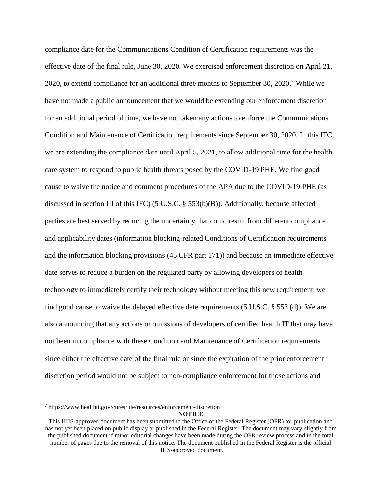compliance date for the Communications Condition of Certification requirements was the effective date of the final rule, June 30, 2020. We exercised enforcement discretion on April 21, 2020, to extend compliance for an additional three months to September 30, 2020.<sup>7</sup> While we have not made a public announcement that we would be extending our enforcement discretion for an additional period of time, we have not taken any actions to enforce the Communications Condition and Maintenance of Certification requirements since September 30, 2020. In this IFC, we are extending the compliance date until April 5, 2021, to allow additional time for the health care system to respond to public health threats posed by the COVID-19 PHE. We find good cause to waive the notice and comment procedures of the APA due to the COVID-19 PHE (as discussed in section III of this IFC) (5 U.S.C. § 553(b)(B)). Additionally, because affected parties are best served by reducing the uncertainty that could result from different compliance and applicability dates (information blocking-related Conditions of Certification requirements and the information blocking provisions (45 CFR part 171)) and because an immediate effective date serves to reduce a burden on the regulated party by allowing developers of health technology to immediately certify their technology without meeting this new requirement, we find good cause to waive the delayed effective date requirements (5 U.S.C. § 553 (d)). We are also announcing that any actions or omissions of developers of certified health IT that may have not been in compliance with these Condition and Maintenance of Certification requirements since either the effective date of the final rule or since the expiration of the prior enforcement discretion period would not be subject to non-compliance enforcement for those actions and

 $\overline{a}$ 

<sup>7</sup> https://www.healthit.gov/curesrule/resources/enforcement-discretion

**NOTICE**

This HHS-approved document has been submitted to the Office of the Federal Register (OFR) for publication and has not yet been placed on public display or published in the Federal Register. The document may vary slightly from the published document if minor editorial changes have been made during the OFR review process and in the total number of pages due to the removal of this notice. The document published in the Federal Register is the official HHS-approved document.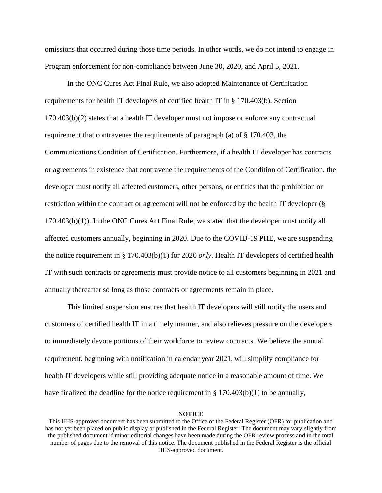omissions that occurred during those time periods. In other words, we do not intend to engage in Program enforcement for non-compliance between June 30, 2020, and April 5, 2021.

In the ONC Cures Act Final Rule, we also adopted Maintenance of Certification requirements for health IT developers of certified health IT in § 170.403(b). Section 170.403(b)(2) states that a health IT developer must not impose or enforce any contractual requirement that contravenes the requirements of paragraph (a) of § 170.403, the Communications Condition of Certification. Furthermore, if a health IT developer has contracts or agreements in existence that contravene the requirements of the Condition of Certification, the developer must notify all affected customers, other persons, or entities that the prohibition or restriction within the contract or agreement will not be enforced by the health IT developer (§ 170.403(b)(1)). In the ONC Cures Act Final Rule, we stated that the developer must notify all affected customers annually, beginning in 2020. Due to the COVID-19 PHE, we are suspending the notice requirement in § 170.403(b)(1) for 2020 *only*. Health IT developers of certified health IT with such contracts or agreements must provide notice to all customers beginning in 2021 and annually thereafter so long as those contracts or agreements remain in place.

This limited suspension ensures that health IT developers will still notify the users and customers of certified health IT in a timely manner, and also relieves pressure on the developers to immediately devote portions of their workforce to review contracts. We believe the annual requirement, beginning with notification in calendar year 2021, will simplify compliance for health IT developers while still providing adequate notice in a reasonable amount of time. We have finalized the deadline for the notice requirement in  $\S 170.403(b)(1)$  to be annually,

This HHS-approved document has been submitted to the Office of the Federal Register (OFR) for publication and has not yet been placed on public display or published in the Federal Register. The document may vary slightly from the published document if minor editorial changes have been made during the OFR review process and in the total number of pages due to the removal of this notice. The document published in the Federal Register is the official HHS-approved document.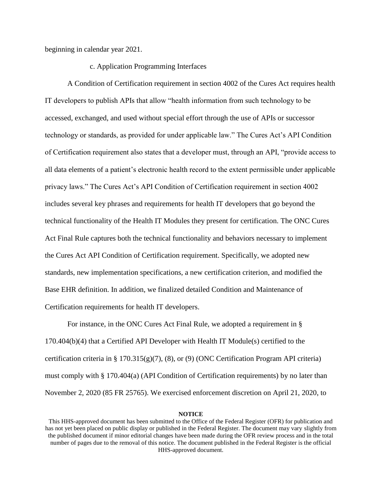beginning in calendar year 2021.

### c. Application Programming Interfaces

A Condition of Certification requirement in section 4002 of the Cures Act requires health IT developers to publish APIs that allow "health information from such technology to be accessed, exchanged, and used without special effort through the use of APIs or successor technology or standards, as provided for under applicable law." The Cures Act's API Condition of Certification requirement also states that a developer must, through an API, "provide access to all data elements of a patient's electronic health record to the extent permissible under applicable privacy laws." The Cures Act's API Condition of Certification requirement in section 4002 includes several key phrases and requirements for health IT developers that go beyond the technical functionality of the Health IT Modules they present for certification. The ONC Cures Act Final Rule captures both the technical functionality and behaviors necessary to implement the Cures Act API Condition of Certification requirement. Specifically, we adopted new standards, new implementation specifications, a new certification criterion, and modified the Base EHR definition. In addition, we finalized detailed Condition and Maintenance of Certification requirements for health IT developers.

For instance, in the ONC Cures Act Final Rule, we adopted a requirement in § 170.404(b)(4) that a Certified API Developer with Health IT Module(s) certified to the certification criteria in § 170.315(g)(7), (8), or (9) (ONC Certification Program API criteria) must comply with § 170.404(a) (API Condition of Certification requirements) by no later than November 2, 2020 (85 FR 25765). We exercised enforcement discretion on April 21, 2020, to

This HHS-approved document has been submitted to the Office of the Federal Register (OFR) for publication and has not yet been placed on public display or published in the Federal Register. The document may vary slightly from the published document if minor editorial changes have been made during the OFR review process and in the total number of pages due to the removal of this notice. The document published in the Federal Register is the official HHS-approved document.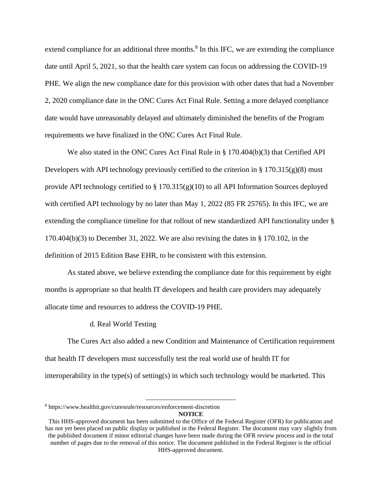extend compliance for an additional three months. $8$  In this IFC, we are extending the compliance date until April 5, 2021, so that the health care system can focus on addressing the COVID-19 PHE. We align the new compliance date for this provision with other dates that had a November 2, 2020 compliance date in the ONC Cures Act Final Rule. Setting a more delayed compliance date would have unreasonably delayed and ultimately diminished the benefits of the Program requirements we have finalized in the ONC Cures Act Final Rule.

We also stated in the ONC Cures Act Final Rule in § 170.404(b)(3) that Certified API Developers with API technology previously certified to the criterion in  $\S 170.315(g)(8)$  must provide API technology certified to § 170.315(g)(10) to all API Information Sources deployed with certified API technology by no later than May 1, 2022 (85 FR 25765). In this IFC, we are extending the compliance timeline for that rollout of new standardized API functionality under § 170.404(b)(3) to December 31, 2022. We are also revising the dates in § 170.102, in the definition of 2015 Edition Base EHR, to be consistent with this extension.

As stated above, we believe extending the compliance date for this requirement by eight months is appropriate so that health IT developers and health care providers may adequately allocate time and resources to address the COVID-19 PHE.

d. Real World Testing

The Cures Act also added a new Condition and Maintenance of Certification requirement that health IT developers must successfully test the real world use of health IT for interoperability in the type(s) of setting(s) in which such technology would be marketed. This

 $\overline{a}$ 

<sup>8</sup> https://www.healthit.gov/curesrule/resources/enforcement-discretion

**NOTICE**

This HHS-approved document has been submitted to the Office of the Federal Register (OFR) for publication and has not yet been placed on public display or published in the Federal Register. The document may vary slightly from the published document if minor editorial changes have been made during the OFR review process and in the total number of pages due to the removal of this notice. The document published in the Federal Register is the official HHS-approved document.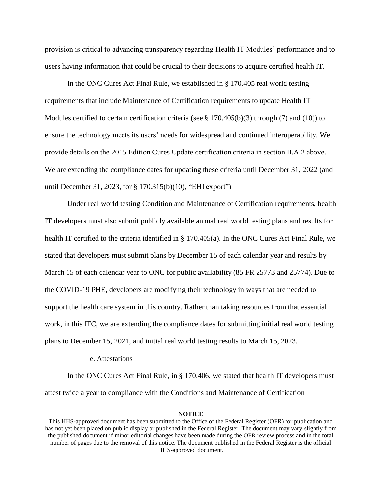provision is critical to advancing transparency regarding Health IT Modules' performance and to users having information that could be crucial to their decisions to acquire certified health IT.

In the ONC Cures Act Final Rule, we established in § 170.405 real world testing requirements that include Maintenance of Certification requirements to update Health IT Modules certified to certain certification criteria (see  $\S 170.405(b)(3)$  through (7) and (10)) to ensure the technology meets its users' needs for widespread and continued interoperability. We provide details on the 2015 Edition Cures Update certification criteria in section II.A.2 above. We are extending the compliance dates for updating these criteria until December 31, 2022 (and until December 31, 2023, for § 170.315(b)(10), "EHI export").

Under real world testing Condition and Maintenance of Certification requirements, health IT developers must also submit publicly available annual real world testing plans and results for health IT certified to the criteria identified in § 170.405(a). In the ONC Cures Act Final Rule, we stated that developers must submit plans by December 15 of each calendar year and results by March 15 of each calendar year to ONC for public availability (85 FR 25773 and 25774). Due to the COVID-19 PHE, developers are modifying their technology in ways that are needed to support the health care system in this country. Rather than taking resources from that essential work, in this IFC, we are extending the compliance dates for submitting initial real world testing plans to December 15, 2021, and initial real world testing results to March 15, 2023.

### e. Attestations

In the ONC Cures Act Final Rule, in § 170.406, we stated that health IT developers must attest twice a year to compliance with the Conditions and Maintenance of Certification

This HHS-approved document has been submitted to the Office of the Federal Register (OFR) for publication and has not yet been placed on public display or published in the Federal Register. The document may vary slightly from the published document if minor editorial changes have been made during the OFR review process and in the total number of pages due to the removal of this notice. The document published in the Federal Register is the official HHS-approved document.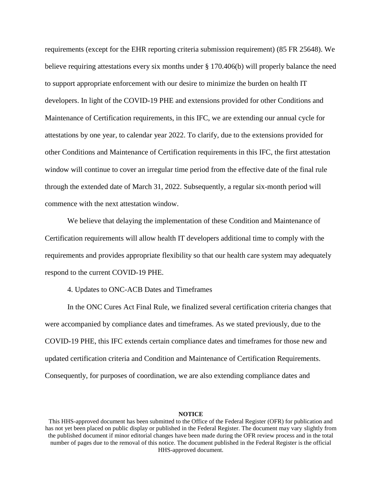requirements (except for the EHR reporting criteria submission requirement) (85 FR 25648). We believe requiring attestations every six months under § 170.406(b) will properly balance the need to support appropriate enforcement with our desire to minimize the burden on health IT developers. In light of the COVID-19 PHE and extensions provided for other Conditions and Maintenance of Certification requirements, in this IFC, we are extending our annual cycle for attestations by one year, to calendar year 2022. To clarify, due to the extensions provided for other Conditions and Maintenance of Certification requirements in this IFC, the first attestation window will continue to cover an irregular time period from the effective date of the final rule through the extended date of March 31, 2022. Subsequently, a regular six-month period will commence with the next attestation window.

We believe that delaying the implementation of these Condition and Maintenance of Certification requirements will allow health IT developers additional time to comply with the requirements and provides appropriate flexibility so that our health care system may adequately respond to the current COVID-19 PHE.

4. Updates to ONC-ACB Dates and Timeframes

In the ONC Cures Act Final Rule, we finalized several certification criteria changes that were accompanied by compliance dates and timeframes. As we stated previously, due to the COVID-19 PHE, this IFC extends certain compliance dates and timeframes for those new and updated certification criteria and Condition and Maintenance of Certification Requirements. Consequently, for purposes of coordination, we are also extending compliance dates and

This HHS-approved document has been submitted to the Office of the Federal Register (OFR) for publication and has not yet been placed on public display or published in the Federal Register. The document may vary slightly from the published document if minor editorial changes have been made during the OFR review process and in the total number of pages due to the removal of this notice. The document published in the Federal Register is the official HHS-approved document.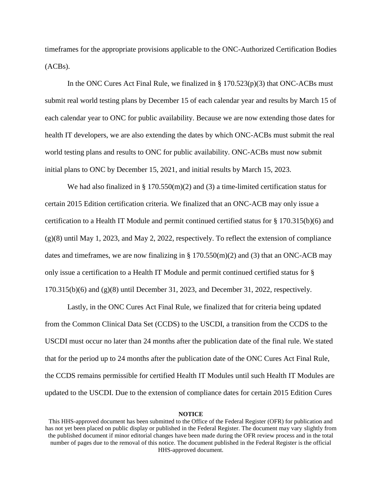timeframes for the appropriate provisions applicable to the ONC-Authorized Certification Bodies (ACBs).

In the ONC Cures Act Final Rule, we finalized in  $\S 170.523(p)(3)$  that ONC-ACBs must submit real world testing plans by December 15 of each calendar year and results by March 15 of each calendar year to ONC for public availability. Because we are now extending those dates for health IT developers, we are also extending the dates by which ONC-ACBs must submit the real world testing plans and results to ONC for public availability. ONC-ACBs must now submit initial plans to ONC by December 15, 2021, and initial results by March 15, 2023.

We had also finalized in § 170.550(m)(2) and (3) a time-limited certification status for certain 2015 Edition certification criteria. We finalized that an ONC-ACB may only issue a certification to a Health IT Module and permit continued certified status for § 170.315(b)(6) and  $(g)(8)$  until May 1, 2023, and May 2, 2022, respectively. To reflect the extension of compliance dates and timeframes, we are now finalizing in  $\S 170.550(m)(2)$  and (3) that an ONC-ACB may only issue a certification to a Health IT Module and permit continued certified status for § 170.315(b)(6) and (g)(8) until December 31, 2023, and December 31, 2022, respectively.

Lastly, in the ONC Cures Act Final Rule, we finalized that for criteria being updated from the Common Clinical Data Set (CCDS) to the USCDI, a transition from the CCDS to the USCDI must occur no later than 24 months after the publication date of the final rule. We stated that for the period up to 24 months after the publication date of the ONC Cures Act Final Rule, the CCDS remains permissible for certified Health IT Modules until such Health IT Modules are updated to the USCDI. Due to the extension of compliance dates for certain 2015 Edition Cures

This HHS-approved document has been submitted to the Office of the Federal Register (OFR) for publication and has not yet been placed on public display or published in the Federal Register. The document may vary slightly from the published document if minor editorial changes have been made during the OFR review process and in the total number of pages due to the removal of this notice. The document published in the Federal Register is the official HHS-approved document.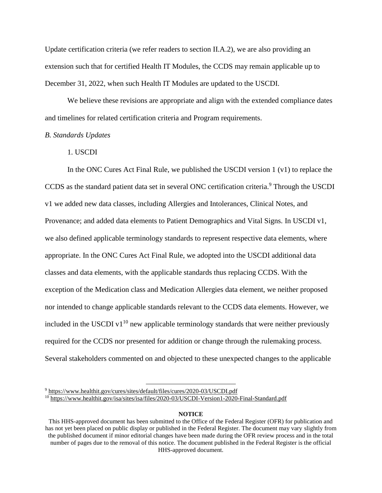Update certification criteria (we refer readers to section II.A.2), we are also providing an extension such that for certified Health IT Modules, the CCDS may remain applicable up to December 31, 2022, when such Health IT Modules are updated to the USCDI.

We believe these revisions are appropriate and align with the extended compliance dates and timelines for related certification criteria and Program requirements.

## *B. Standards Updates*

## 1. USCDI

In the ONC Cures Act Final Rule, we published the USCDI version  $1(v1)$  to replace the CCDS as the standard patient data set in several ONC certification criteria.<sup>9</sup> Through the USCDI v1 we added new data classes, including Allergies and Intolerances, Clinical Notes, and Provenance; and added data elements to Patient Demographics and Vital Signs. In USCDI v1, we also defined applicable terminology standards to represent respective data elements, where appropriate. In the ONC Cures Act Final Rule, we adopted into the USCDI additional data classes and data elements, with the applicable standards thus replacing CCDS. With the exception of the Medication class and Medication Allergies data element, we neither proposed nor intended to change applicable standards relevant to the CCDS data elements. However, we included in the USCDI v1 $10$  new applicable terminology standards that were neither previously required for the CCDS nor presented for addition or change through the rulemaking process. Several stakeholders commented on and objected to these unexpected changes to the applicable

 $\overline{a}$ <sup>9</sup> <https://www.healthit.gov/cures/sites/default/files/cures/2020-03/USCDI.pdf>

<sup>10</sup> <https://www.healthit.gov/isa/sites/isa/files/2020-03/USCDI-Version1-2020-Final-Standard.pdf>

This HHS-approved document has been submitted to the Office of the Federal Register (OFR) for publication and has not yet been placed on public display or published in the Federal Register. The document may vary slightly from the published document if minor editorial changes have been made during the OFR review process and in the total number of pages due to the removal of this notice. The document published in the Federal Register is the official HHS-approved document.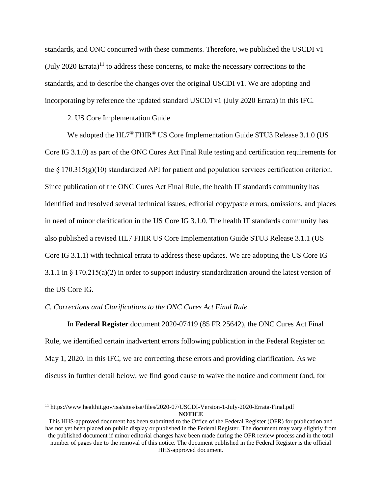standards, and ONC concurred with these comments. Therefore, we published the USCDI v1 (July 2020 Errata)<sup>11</sup> to address these concerns, to make the necessary corrections to the standards, and to describe the changes over the original USCDI v1. We are adopting and incorporating by reference the updated standard USCDI v1 (July 2020 Errata) in this IFC.

### 2. US Core Implementation Guide

We adopted the  $HL7^{\circledast}$  FHIR<sup>®</sup> US Core Implementation Guide STU3 Release 3.1.0 (US Core IG 3.1.0) as part of the ONC Cures Act Final Rule testing and certification requirements for the  $\S 170.315(g)(10)$  standardized API for patient and population services certification criterion. Since publication of the ONC Cures Act Final Rule, the health IT standards community has identified and resolved several technical issues, editorial copy/paste errors, omissions, and places in need of minor clarification in the US Core IG 3.1.0. The health IT standards community has also published a revised HL7 FHIR US Core Implementation Guide STU3 Release 3.1.1 (US Core IG 3.1.1) with technical errata to address these updates. We are adopting the US Core IG 3.1.1 in § 170.215(a)(2) in order to support industry standardization around the latest version of the US Core IG.

#### *C. Corrections and Clarifications to the ONC Cures Act Final Rule*

 $\overline{a}$ 

In **Federal Register** document 2020-07419 (85 FR 25642), the ONC Cures Act Final Rule, we identified certain inadvertent errors following publication in the Federal Register on May 1, 2020. In this IFC, we are correcting these errors and providing clarification. As we discuss in further detail below, we find good cause to waive the notice and comment (and, for

**NOTICE** <sup>11</sup> <https://www.healthit.gov/isa/sites/isa/files/2020-07/USCDI-Version-1-July-2020-Errata-Final.pdf>

This HHS-approved document has been submitted to the Office of the Federal Register (OFR) for publication and has not yet been placed on public display or published in the Federal Register. The document may vary slightly from the published document if minor editorial changes have been made during the OFR review process and in the total number of pages due to the removal of this notice. The document published in the Federal Register is the official HHS-approved document.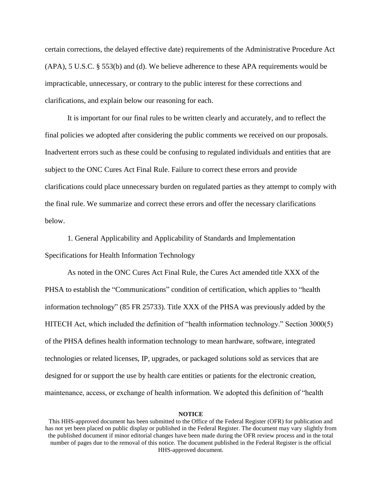certain corrections, the delayed effective date) requirements of the Administrative Procedure Act (APA), 5 U.S.C. § 553(b) and (d). We believe adherence to these APA requirements would be impracticable, unnecessary, or contrary to the public interest for these corrections and clarifications, and explain below our reasoning for each.

It is important for our final rules to be written clearly and accurately, and to reflect the final policies we adopted after considering the public comments we received on our proposals. Inadvertent errors such as these could be confusing to regulated individuals and entities that are subject to the ONC Cures Act Final Rule. Failure to correct these errors and provide clarifications could place unnecessary burden on regulated parties as they attempt to comply with the final rule. We summarize and correct these errors and offer the necessary clarifications below.

1. General Applicability and Applicability of Standards and Implementation Specifications for Health Information Technology

As noted in the ONC Cures Act Final Rule, the Cures Act amended title XXX of the PHSA to establish the "Communications" condition of certification, which applies to "health information technology" (85 FR 25733). Title XXX of the PHSA was previously added by the HITECH Act, which included the definition of "health information technology." Section 3000(5) of the PHSA defines health information technology to mean hardware, software, integrated technologies or related licenses, IP, upgrades, or packaged solutions sold as services that are designed for or support the use by health care entities or patients for the electronic creation, maintenance, access, or exchange of health information. We adopted this definition of "health

#### **NOTICE**

This HHS-approved document has been submitted to the Office of the Federal Register (OFR) for publication and has not yet been placed on public display or published in the Federal Register. The document may vary slightly from the published document if minor editorial changes have been made during the OFR review process and in the total number of pages due to the removal of this notice. The document published in the Federal Register is the official HHS-approved document.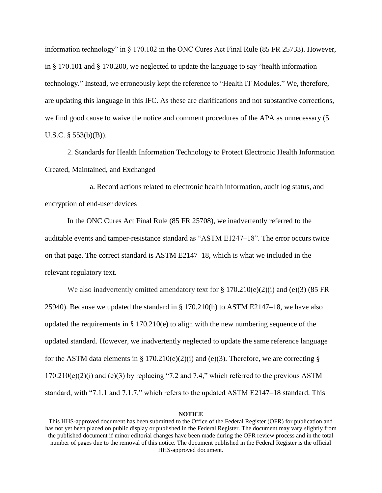information technology" in § 170.102 in the ONC Cures Act Final Rule (85 FR 25733). However, in § 170.101 and § 170.200, we neglected to update the language to say "health information technology." Instead, we erroneously kept the reference to "Health IT Modules." We, therefore, are updating this language in this IFC. As these are clarifications and not substantive corrections, we find good cause to waive the notice and comment procedures of the APA as unnecessary (5 U.S.C. § 553(b)(B)).

2. Standards for Health Information Technology to Protect Electronic Health Information Created, Maintained, and Exchanged

a. Record actions related to electronic health information, audit log status, and encryption of end-user devices

In the ONC Cures Act Final Rule (85 FR 25708), we inadvertently referred to the auditable events and tamper-resistance standard as "ASTM E1247–18". The error occurs twice on that page. The correct standard is ASTM E2147–18, which is what we included in the relevant regulatory text.

We also inadvertently omitted amendatory text for  $\S 170.210(e)(2)(i)$  and (e)(3) (85 FR 25940). Because we updated the standard in § 170.210(h) to ASTM E2147–18, we have also updated the requirements in § 170.210(e) to align with the new numbering sequence of the updated standard. However, we inadvertently neglected to update the same reference language for the ASTM data elements in § 170.210(e)(2)(i) and (e)(3). Therefore, we are correcting §  $170.210(e)(2)(i)$  and  $(e)(3)$  by replacing "7.2 and 7.4," which referred to the previous ASTM standard, with "7.1.1 and 7.1.7," which refers to the updated ASTM E2147–18 standard. This

#### **NOTICE**

This HHS-approved document has been submitted to the Office of the Federal Register (OFR) for publication and has not yet been placed on public display or published in the Federal Register. The document may vary slightly from the published document if minor editorial changes have been made during the OFR review process and in the total number of pages due to the removal of this notice. The document published in the Federal Register is the official HHS-approved document.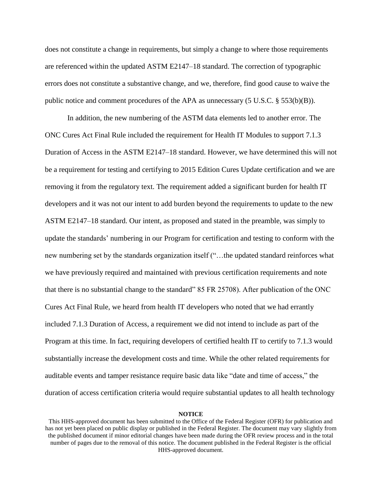does not constitute a change in requirements, but simply a change to where those requirements are referenced within the updated ASTM E2147–18 standard. The correction of typographic errors does not constitute a substantive change, and we, therefore, find good cause to waive the public notice and comment procedures of the APA as unnecessary (5 U.S.C. § 553(b)(B)).

In addition, the new numbering of the ASTM data elements led to another error. The ONC Cures Act Final Rule included the requirement for Health IT Modules to support 7.1.3 Duration of Access in the ASTM E2147–18 standard. However, we have determined this will not be a requirement for testing and certifying to 2015 Edition Cures Update certification and we are removing it from the regulatory text. The requirement added a significant burden for health IT developers and it was not our intent to add burden beyond the requirements to update to the new ASTM E2147–18 standard. Our intent, as proposed and stated in the preamble, was simply to update the standards' numbering in our Program for certification and testing to conform with the new numbering set by the standards organization itself ("…the updated standard reinforces what we have previously required and maintained with previous certification requirements and note that there is no substantial change to the standard" 85 FR 25708). After publication of the ONC Cures Act Final Rule, we heard from health IT developers who noted that we had errantly included 7.1.3 Duration of Access, a requirement we did not intend to include as part of the Program at this time. In fact, requiring developers of certified health IT to certify to 7.1.3 would substantially increase the development costs and time. While the other related requirements for auditable events and tamper resistance require basic data like "date and time of access," the duration of access certification criteria would require substantial updates to all health technology

This HHS-approved document has been submitted to the Office of the Federal Register (OFR) for publication and has not yet been placed on public display or published in the Federal Register. The document may vary slightly from the published document if minor editorial changes have been made during the OFR review process and in the total number of pages due to the removal of this notice. The document published in the Federal Register is the official HHS-approved document.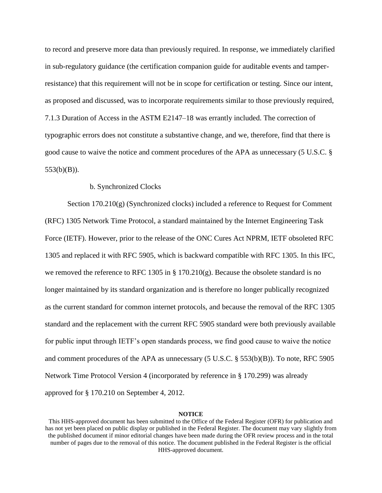to record and preserve more data than previously required. In response, we immediately clarified in sub-regulatory guidance (the certification companion guide for auditable events and tamperresistance) that this requirement will not be in scope for certification or testing. Since our intent, as proposed and discussed, was to incorporate requirements similar to those previously required, 7.1.3 Duration of Access in the ASTM E2147–18 was errantly included. The correction of typographic errors does not constitute a substantive change, and we, therefore, find that there is good cause to waive the notice and comment procedures of the APA as unnecessary (5 U.S.C. § 553(b)(B)).

## b. Synchronized Clocks

Section 170.210(g) (Synchronized clocks) included a reference to Request for Comment (RFC) 1305 Network Time Protocol, a standard maintained by the Internet Engineering Task Force (IETF). However, prior to the release of the ONC Cures Act NPRM, IETF obsoleted RFC 1305 and replaced it with RFC 5905, which is backward compatible with RFC 1305. In this IFC, we removed the reference to RFC 1305 in § 170.210(g). Because the obsolete standard is no longer maintained by its standard organization and is therefore no longer publically recognized as the current standard for common internet protocols, and because the removal of the RFC 1305 standard and the replacement with the current RFC 5905 standard were both previously available for public input through IETF's open standards process, we find good cause to waive the notice and comment procedures of the APA as unnecessary (5 U.S.C. § 553(b)(B)). To note, RFC 5905 Network Time Protocol Version 4 (incorporated by reference in § 170.299) was already approved for § 170.210 on September 4, 2012.

This HHS-approved document has been submitted to the Office of the Federal Register (OFR) for publication and has not yet been placed on public display or published in the Federal Register. The document may vary slightly from the published document if minor editorial changes have been made during the OFR review process and in the total number of pages due to the removal of this notice. The document published in the Federal Register is the official HHS-approved document.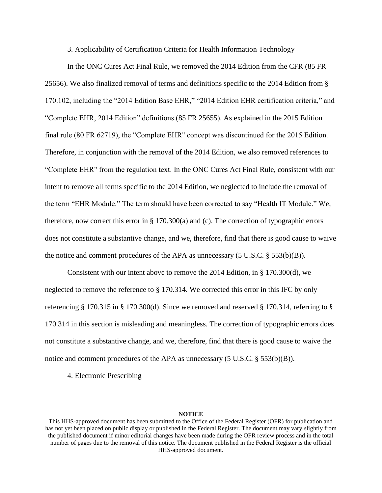3. Applicability of Certification Criteria for Health Information Technology

In the ONC Cures Act Final Rule, we removed the 2014 Edition from the CFR (85 FR 25656). We also finalized removal of terms and definitions specific to the 2014 Edition from § 170.102, including the "2014 Edition Base EHR," "2014 Edition EHR certification criteria," and "Complete EHR, 2014 Edition" definitions (85 FR 25655). As explained in the 2015 Edition final rule (80 FR 62719), the "Complete EHR" concept was discontinued for the 2015 Edition. Therefore, in conjunction with the removal of the 2014 Edition, we also removed references to "Complete EHR" from the regulation text. In the ONC Cures Act Final Rule, consistent with our intent to remove all terms specific to the 2014 Edition, we neglected to include the removal of the term "EHR Module." The term should have been corrected to say "Health IT Module." We, therefore, now correct this error in § 170.300(a) and (c). The correction of typographic errors does not constitute a substantive change, and we, therefore, find that there is good cause to waive the notice and comment procedures of the APA as unnecessary (5 U.S.C. § 553(b)(B)).

Consistent with our intent above to remove the 2014 Edition, in § 170.300(d), we neglected to remove the reference to § 170.314. We corrected this error in this IFC by only referencing § 170.315 in § 170.300(d). Since we removed and reserved § 170.314, referring to § 170.314 in this section is misleading and meaningless. The correction of typographic errors does not constitute a substantive change, and we, therefore, find that there is good cause to waive the notice and comment procedures of the APA as unnecessary  $(5 \text{ U.S.C.} \& 553(b)(B))$ .

4. Electronic Prescribing

This HHS-approved document has been submitted to the Office of the Federal Register (OFR) for publication and has not yet been placed on public display or published in the Federal Register. The document may vary slightly from the published document if minor editorial changes have been made during the OFR review process and in the total number of pages due to the removal of this notice. The document published in the Federal Register is the official HHS-approved document.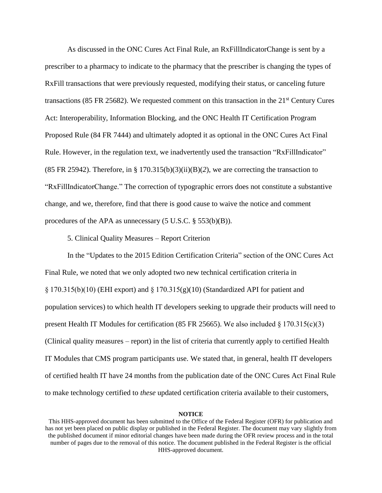As discussed in the ONC Cures Act Final Rule, an RxFillIndicatorChange is sent by a prescriber to a pharmacy to indicate to the pharmacy that the prescriber is changing the types of RxFill transactions that were previously requested, modifying their status, or canceling future transactions (85 FR 25682). We requested comment on this transaction in the  $21<sup>st</sup>$  Century Cures Act: Interoperability, Information Blocking, and the ONC Health IT Certification Program Proposed Rule (84 FR 7444) and ultimately adopted it as optional in the ONC Cures Act Final Rule. However, in the regulation text, we inadvertently used the transaction "RxFillIndicator" (85 FR 25942). Therefore, in §  $170.315(b)(3)(ii)(B)(2)$ , we are correcting the transaction to "RxFillIndicatorChange." The correction of typographic errors does not constitute a substantive change, and we, therefore, find that there is good cause to waive the notice and comment procedures of the APA as unnecessary (5 U.S.C. § 553(b)(B)).

5. Clinical Quality Measures – Report Criterion

In the "Updates to the 2015 Edition Certification Criteria" section of the ONC Cures Act Final Rule, we noted that we only adopted two new technical certification criteria in § 170.315(b)(10) (EHI export) and § 170.315(g)(10) (Standardized API for patient and population services) to which health IT developers seeking to upgrade their products will need to present Health IT Modules for certification (85 FR 25665). We also included  $\S 170.315(c)(3)$ (Clinical quality measures – report) in the list of criteria that currently apply to certified Health IT Modules that CMS program participants use. We stated that, in general, health IT developers of certified health IT have 24 months from the publication date of the ONC Cures Act Final Rule to make technology certified to *these* updated certification criteria available to their customers,

This HHS-approved document has been submitted to the Office of the Federal Register (OFR) for publication and has not yet been placed on public display or published in the Federal Register. The document may vary slightly from the published document if minor editorial changes have been made during the OFR review process and in the total number of pages due to the removal of this notice. The document published in the Federal Register is the official HHS-approved document.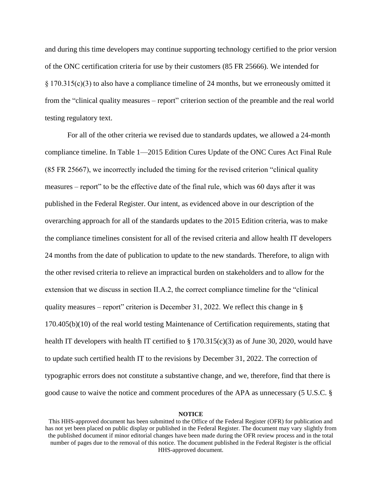and during this time developers may continue supporting technology certified to the prior version of the ONC certification criteria for use by their customers (85 FR 25666). We intended for § 170.315(c)(3) to also have a compliance timeline of 24 months, but we erroneously omitted it from the "clinical quality measures – report" criterion section of the preamble and the real world testing regulatory text.

For all of the other criteria we revised due to standards updates, we allowed a 24-month compliance timeline. In Table 1—2015 Edition Cures Update of the ONC Cures Act Final Rule (85 FR 25667), we incorrectly included the timing for the revised criterion "clinical quality measures – report" to be the effective date of the final rule, which was 60 days after it was published in the Federal Register. Our intent, as evidenced above in our description of the overarching approach for all of the standards updates to the 2015 Edition criteria, was to make the compliance timelines consistent for all of the revised criteria and allow health IT developers 24 months from the date of publication to update to the new standards. Therefore, to align with the other revised criteria to relieve an impractical burden on stakeholders and to allow for the extension that we discuss in section II.A.2, the correct compliance timeline for the "clinical quality measures – report" criterion is December 31, 2022. We reflect this change in  $\S$ 170.405(b)(10) of the real world testing Maintenance of Certification requirements, stating that health IT developers with health IT certified to  $\S 170.315(c)(3)$  as of June 30, 2020, would have to update such certified health IT to the revisions by December 31, 2022. The correction of typographic errors does not constitute a substantive change, and we, therefore, find that there is good cause to waive the notice and comment procedures of the APA as unnecessary (5 U.S.C. §

This HHS-approved document has been submitted to the Office of the Federal Register (OFR) for publication and has not yet been placed on public display or published in the Federal Register. The document may vary slightly from the published document if minor editorial changes have been made during the OFR review process and in the total number of pages due to the removal of this notice. The document published in the Federal Register is the official HHS-approved document.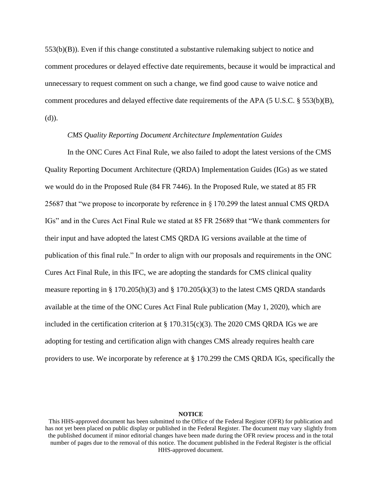553(b)(B)). Even if this change constituted a substantive rulemaking subject to notice and comment procedures or delayed effective date requirements, because it would be impractical and unnecessary to request comment on such a change, we find good cause to waive notice and comment procedures and delayed effective date requirements of the APA (5 U.S.C. § 553(b)(B), (d)).

## *CMS Quality Reporting Document Architecture Implementation Guides*

In the ONC Cures Act Final Rule, we also failed to adopt the latest versions of the CMS Quality Reporting Document Architecture (QRDA) Implementation Guides (IGs) as we stated we would do in the Proposed Rule (84 FR 7446). In the Proposed Rule, we stated at 85 FR 25687 that "we propose to incorporate by reference in § 170.299 the latest annual CMS QRDA IGs" and in the Cures Act Final Rule we stated at 85 FR 25689 that "We thank commenters for their input and have adopted the latest CMS QRDA IG versions available at the time of publication of this final rule." In order to align with our proposals and requirements in the ONC Cures Act Final Rule, in this IFC, we are adopting the standards for CMS clinical quality measure reporting in § 170.205(h)(3) and § 170.205(k)(3) to the latest CMS QRDA standards available at the time of the ONC Cures Act Final Rule publication (May 1, 2020), which are included in the certification criterion at  $\S 170.315(c)(3)$ . The 2020 CMS QRDA IGs we are adopting for testing and certification align with changes CMS already requires health care providers to use. We incorporate by reference at § 170.299 the CMS QRDA IGs, specifically the

This HHS-approved document has been submitted to the Office of the Federal Register (OFR) for publication and has not yet been placed on public display or published in the Federal Register. The document may vary slightly from the published document if minor editorial changes have been made during the OFR review process and in the total number of pages due to the removal of this notice. The document published in the Federal Register is the official HHS-approved document.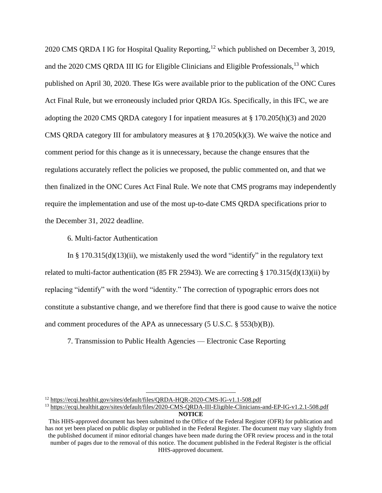2020 CMS QRDA I IG for Hospital Quality Reporting,<sup>12</sup> which published on December 3, 2019, and the 2020 CMS ORDA III IG for Eligible Clinicians and Eligible Professionals, <sup>13</sup> which published on April 30, 2020. These IGs were available prior to the publication of the ONC Cures Act Final Rule, but we erroneously included prior QRDA IGs. Specifically, in this IFC, we are adopting the 2020 CMS QRDA category I for inpatient measures at § 170.205(h)(3) and 2020 CMS QRDA category III for ambulatory measures at  $\S 170.205(k)(3)$ . We waive the notice and comment period for this change as it is unnecessary, because the change ensures that the regulations accurately reflect the policies we proposed, the public commented on, and that we then finalized in the ONC Cures Act Final Rule. We note that CMS programs may independently require the implementation and use of the most up-to-date CMS QRDA specifications prior to the December 31, 2022 deadline.

6. Multi-factor Authentication

In  $\S 170.315(d)(13)(ii)$ , we mistakenly used the word "identify" in the regulatory text related to multi-factor authentication (85 FR 25943). We are correcting § 170.315(d)(13)(ii) by replacing "identify" with the word "identity." The correction of typographic errors does not constitute a substantive change, and we therefore find that there is good cause to waive the notice and comment procedures of the APA as unnecessary (5 U.S.C. § 553(b)(B)).

7. Transmission to Public Health Agencies — Electronic Case Reporting

 $\overline{a}$ 

<sup>&</sup>lt;sup>12</sup> <https://ecqi.healthit.gov/sites/default/files/QRDA-HQR-2020-CMS-IG-v1.1-508.pdf>

**NOTICE** <sup>13</sup> <https://ecqi.healthit.gov/sites/default/files/2020-CMS-QRDA-III-Eligible-Clinicians-and-EP-IG-v1.2.1-508.pdf>

This HHS-approved document has been submitted to the Office of the Federal Register (OFR) for publication and has not yet been placed on public display or published in the Federal Register. The document may vary slightly from the published document if minor editorial changes have been made during the OFR review process and in the total number of pages due to the removal of this notice. The document published in the Federal Register is the official HHS-approved document.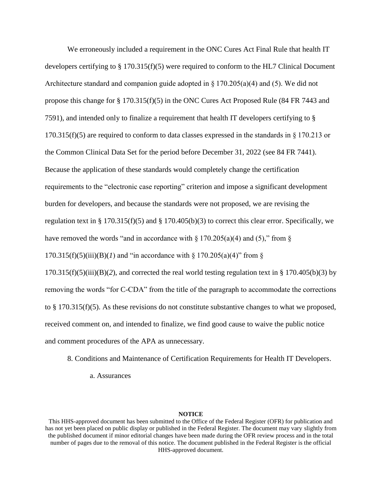We erroneously included a requirement in the ONC Cures Act Final Rule that health IT developers certifying to § 170.315(f)(5) were required to conform to the HL7 Clinical Document Architecture standard and companion guide adopted in  $\S 170.205(a)(4)$  and (5). We did not propose this change for § 170.315(f)(5) in the ONC Cures Act Proposed Rule (84 FR 7443 and 7591), and intended only to finalize a requirement that health IT developers certifying to § 170.315(f)(5) are required to conform to data classes expressed in the standards in  $\S 170.213$  or the Common Clinical Data Set for the period before December 31, 2022 (see 84 FR 7441). Because the application of these standards would completely change the certification requirements to the "electronic case reporting" criterion and impose a significant development burden for developers, and because the standards were not proposed, we are revising the regulation text in § 170.315(f)(5) and § 170.405(b)(3) to correct this clear error. Specifically, we have removed the words "and in accordance with  $\S 170.205(a)(4)$  and (5)," from  $\S$  $170.315(f)(5)(iii)(B)(I)$  and "in accordance with §  $170.205(a)(4)$ " from §  $170.315(f)(5)(iii)(B)(2)$ , and corrected the real world testing regulation text in § 170.405(b)(3) by removing the words "for C-CDA" from the title of the paragraph to accommodate the corrections to § 170.315(f)(5). As these revisions do not constitute substantive changes to what we proposed, received comment on, and intended to finalize, we find good cause to waive the public notice and comment procedures of the APA as unnecessary.

- 8. Conditions and Maintenance of Certification Requirements for Health IT Developers.
	- a. Assurances

This HHS-approved document has been submitted to the Office of the Federal Register (OFR) for publication and has not yet been placed on public display or published in the Federal Register. The document may vary slightly from the published document if minor editorial changes have been made during the OFR review process and in the total number of pages due to the removal of this notice. The document published in the Federal Register is the official HHS-approved document.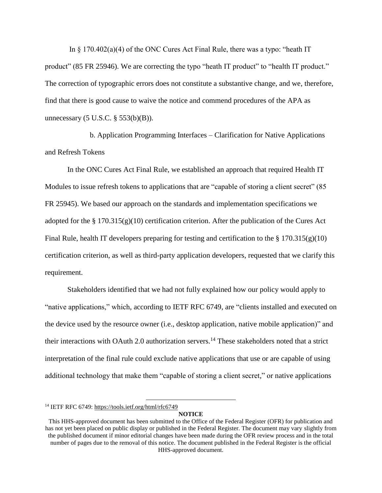In  $\S$  170.402(a)(4) of the ONC Cures Act Final Rule, there was a typo: "heath IT product" (85 FR 25946). We are correcting the typo "heath IT product" to "health IT product." The correction of typographic errors does not constitute a substantive change, and we, therefore, find that there is good cause to waive the notice and commend procedures of the APA as unnecessary (5 U.S.C. § 553(b)(B)).

b. Application Programming Interfaces – Clarification for Native Applications and Refresh Tokens

In the ONC Cures Act Final Rule, we established an approach that required Health IT Modules to issue refresh tokens to applications that are "capable of storing a client secret" (85 FR 25945). We based our approach on the standards and implementation specifications we adopted for the § 170.315(g)(10) certification criterion. After the publication of the Cures Act Final Rule, health IT developers preparing for testing and certification to the  $\S 170.315(g)(10)$ certification criterion, as well as third-party application developers, requested that we clarify this requirement.

Stakeholders identified that we had not fully explained how our policy would apply to "native applications," which, according to IETF RFC 6749, are "clients installed and executed on the device used by the resource owner (i.e., desktop application, native mobile application)" and their interactions with OAuth 2.0 authorization servers.<sup>14</sup> These stakeholders noted that a strict interpretation of the final rule could exclude native applications that use or are capable of using additional technology that make them "capable of storing a client secret," or native applications

<sup>14</sup> IETF RFC 6749:<https://tools.ietf.org/html/rfc6749>

 $\overline{a}$ 

This HHS-approved document has been submitted to the Office of the Federal Register (OFR) for publication and has not yet been placed on public display or published in the Federal Register. The document may vary slightly from the published document if minor editorial changes have been made during the OFR review process and in the total number of pages due to the removal of this notice. The document published in the Federal Register is the official HHS-approved document.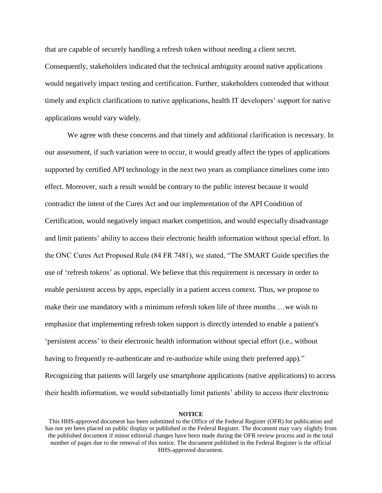that are capable of securely handling a refresh token without needing a client secret. Consequently, stakeholders indicated that the technical ambiguity around native applications would negatively impact testing and certification. Further, stakeholders contended that without timely and explicit clarifications to native applications, health IT developers' support for native applications would vary widely.

We agree with these concerns and that timely and additional clarification is necessary. In our assessment, if such variation were to occur, it would greatly affect the types of applications supported by certified API technology in the next two years as compliance timelines come into effect. Moreover, such a result would be contrary to the public interest because it would contradict the intent of the Cures Act and our implementation of the API Condition of Certification, would negatively impact market competition, and would especially disadvantage and limit patients' ability to access their electronic health information without special effort. In the ONC Cures Act Proposed Rule (84 FR 7481), we stated, "The SMART Guide specifies the use of 'refresh tokens' as optional. We believe that this requirement is necessary in order to enable persistent access by apps, especially in a patient access context. Thus, we propose to make their use mandatory with a minimum refresh token life of three months …we wish to emphasize that implementing refresh token support is directly intended to enable a patient's 'persistent access' to their electronic health information without special effort (i.e., without having to frequently re-authenticate and re-authorize while using their preferred app)." Recognizing that patients will largely use smartphone applications (native applications) to access their health information, we would substantially limit patients' ability to access their electronic

This HHS-approved document has been submitted to the Office of the Federal Register (OFR) for publication and has not yet been placed on public display or published in the Federal Register. The document may vary slightly from the published document if minor editorial changes have been made during the OFR review process and in the total number of pages due to the removal of this notice. The document published in the Federal Register is the official HHS-approved document.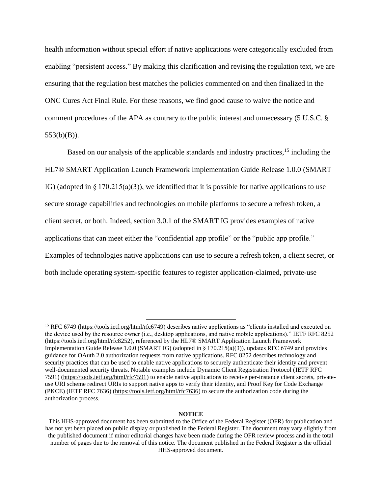health information without special effort if native applications were categorically excluded from enabling "persistent access." By making this clarification and revising the regulation text, we are ensuring that the regulation best matches the policies commented on and then finalized in the ONC Cures Act Final Rule. For these reasons, we find good cause to waive the notice and comment procedures of the APA as contrary to the public interest and unnecessary (5 U.S.C. §  $553(b)(B)$ ).

Based on our analysis of the applicable standards and industry practices,<sup>15</sup> including the HL7® SMART Application Launch Framework Implementation Guide Release 1.0.0 (SMART IG) (adopted in  $\S 170.215(a)(3)$ ), we identified that it is possible for native applications to use secure storage capabilities and technologies on mobile platforms to secure a refresh token, a client secret, or both. Indeed, section 3.0.1 of the SMART IG provides examples of native applications that can meet either the "confidential app profile" or the "public app profile." Examples of technologies native applications can use to secure a refresh token, a client secret, or both include operating system-specific features to register application-claimed, private-use

 $\overline{a}$ 

<sup>&</sup>lt;sup>15</sup> RFC 6749 [\(https://tools.ietf.org/html/rfc6749\)](https://tools.ietf.org/html/rfc6749) describes native applications as "clients installed and executed on the device used by the resource owner (i.e., desktop applications, and native mobile applications)." IETF RFC 8252 [\(https://tools.ietf.org/html/rfc8252\)](https://tools.ietf.org/html/rfc8252), referenced by the HL7® SMART Application Launch Framework Implementation Guide Release 1.0.0 (SMART IG) (adopted in § 170.215(a)(3)), updates RFC 6749 and provides guidance for OAuth 2.0 authorization requests from native applications. RFC 8252 describes technology and security practices that can be used to enable native applications to securely authenticate their identity and prevent well-documented security threats. Notable examples include Dynamic Client Registration Protocol (IETF RFC 7591) [\(https://tools.ietf.org/html/rfc7591\)](https://tools.ietf.org/html/rfc7591) to enable native applications to receive per-instance client secrets, privateuse URI scheme redirect URIs to support native apps to verify their identity, and Proof Key for Code Exchange (PKCE) (IETF RFC 7636) [\(https://tools.ietf.org/html/rfc7636\)](https://tools.ietf.org/html/rfc7636) to secure the authorization code during the authorization process.

This HHS-approved document has been submitted to the Office of the Federal Register (OFR) for publication and has not yet been placed on public display or published in the Federal Register. The document may vary slightly from the published document if minor editorial changes have been made during the OFR review process and in the total number of pages due to the removal of this notice. The document published in the Federal Register is the official HHS-approved document.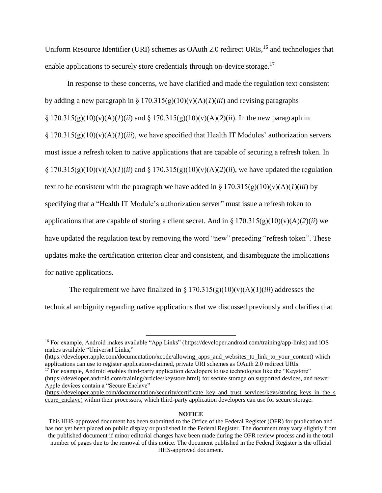Uniform Resource Identifier (URI) schemes as OAuth 2.0 redirect URIs,<sup>16</sup> and technologies that enable applications to securely store credentials through on-device storage.<sup>17</sup>

In response to these concerns, we have clarified and made the regulation text consistent by adding a new paragraph in  $\S 170.315(g)(10)(v)(A)(I)(iii)$  and revising paragraphs  $\S 170.315(g)(10)(v)(A)(I)(ii)$  and  $\S 170.315(g)(10)(v)(A)(2)(ii)$ . In the new paragraph in § 170.315(g)(10)(v)(A)(*1*)(*iii*), we have specified that Health IT Modules' authorization servers must issue a refresh token to native applications that are capable of securing a refresh token. In § 170.315(g)(10)(v)(A)(*I*)(*ii*) and § 170.315(g)(10)(v)(A)(2)(*ii*), we have updated the regulation text to be consistent with the paragraph we have added in  $\S 170.315(g)(10)(v)(A)(I)(iii)$  by specifying that a "Health IT Module's authorization server" must issue a refresh token to applications that are capable of storing a client secret. And in  $\S 170.315(g)(10)(v)(A)(2)(ii)$  we have updated the regulation text by removing the word "new" preceding "refresh token". These updates make the certification criterion clear and consistent, and disambiguate the implications for native applications.

The requirement we have finalized in  $\S 170.315(g)(10)(v)(A)(I)(iii)$  addresses the technical ambiguity regarding native applications that we discussed previously and clarifies that

 $\overline{a}$ 

(https://developer.apple.com/documentation/xcode/allowing\_apps\_and\_websites\_to\_link\_to\_your\_content) which applications can use to register application-claimed, private URI schemes as OAuth 2.0 redirect URIs.

 $17$  For example, Android enables third-party application developers to use technologies like the "Keystore" (https://developer.android.com/training/articles/keystore.html) for secure storage on supported devices, and newer Apple devices contain a "Secure Enclave"

<sup>&</sup>lt;sup>16</sup> For example, Android makes available "App Links" (https://developer.android.com/training/app-links) and iOS makes available "Universal Links,"

<sup>(</sup>https://developer.apple.com/documentation/security/certificate key and trust services/keys/storing keys in the s ecure enclave) within their processors, which third-party application developers can use for secure storage.

This HHS-approved document has been submitted to the Office of the Federal Register (OFR) for publication and has not yet been placed on public display or published in the Federal Register. The document may vary slightly from the published document if minor editorial changes have been made during the OFR review process and in the total number of pages due to the removal of this notice. The document published in the Federal Register is the official HHS-approved document.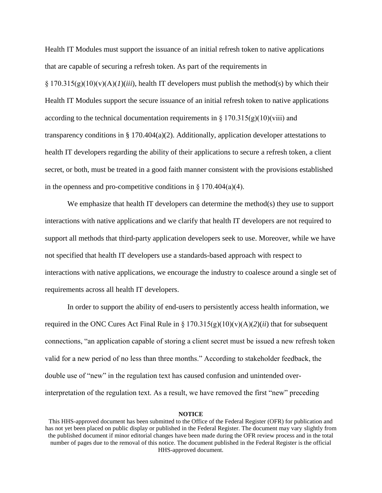Health IT Modules must support the issuance of an initial refresh token to native applications that are capable of securing a refresh token. As part of the requirements in

 $\S 170.315(g)(10)(v)(A)(I)$ (*iii*), health IT developers must publish the method(s) by which their Health IT Modules support the secure issuance of an initial refresh token to native applications according to the technical documentation requirements in  $\S 170.315(g)(10)(viii)$  and transparency conditions in § 170.404(a)(2). Additionally, application developer attestations to health IT developers regarding the ability of their applications to secure a refresh token, a client secret, or both, must be treated in a good faith manner consistent with the provisions established in the openness and pro-competitive conditions in  $\S 170.404(a)(4)$ .

We emphasize that health IT developers can determine the method(s) they use to support interactions with native applications and we clarify that health IT developers are not required to support all methods that third-party application developers seek to use. Moreover, while we have not specified that health IT developers use a standards-based approach with respect to interactions with native applications, we encourage the industry to coalesce around a single set of requirements across all health IT developers.

In order to support the ability of end-users to persistently access health information, we required in the ONC Cures Act Final Rule in §  $170.315(g)(10)(v)(A)(2)(ii)$  that for subsequent connections, "an application capable of storing a client secret must be issued a new refresh token valid for a new period of no less than three months." According to stakeholder feedback, the double use of "new" in the regulation text has caused confusion and unintended overinterpretation of the regulation text. As a result, we have removed the first "new" preceding

This HHS-approved document has been submitted to the Office of the Federal Register (OFR) for publication and has not yet been placed on public display or published in the Federal Register. The document may vary slightly from the published document if minor editorial changes have been made during the OFR review process and in the total number of pages due to the removal of this notice. The document published in the Federal Register is the official HHS-approved document.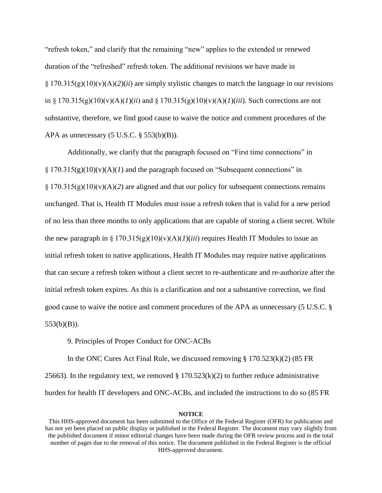"refresh token," and clarify that the remaining "new" applies to the extended or renewed duration of the "refreshed" refresh token. The additional revisions we have made in § 170.315(g)(10)(v)(A)(*2*)(*ii*) are simply stylistic changes to match the language in our revisions in § 170.315(g)(10)(v)(A)(*1*)(*ii*) and § 170.315(g)(10)(v)(A)(*1*)(*iii*). Such corrections are not substantive, therefore, we find good cause to waive the notice and comment procedures of the APA as unnecessary  $(5 \text{ U.S.C. } § 553(b)(B))$ .

Additionally, we clarify that the paragraph focused on "First time connections" in § 170.315(g)(10)(v)(A)(*1*) and the paragraph focused on "Subsequent connections" in  $\S 170.315(g)(10)(v)(A)(2)$  are aligned and that our policy for subsequent connections remains unchanged. That is, Health IT Modules must issue a refresh token that is valid for a new period of no less than three months to only applications that are capable of storing a client secret. While the new paragraph in §  $170.315(g)(10)(v)(A)(I)(iii)$  requires Health IT Modules to issue an initial refresh token to native applications, Health IT Modules may require native applications that can secure a refresh token without a client secret to re-authenticate and re-authorize after the initial refresh token expires. As this is a clarification and not a substantive correction, we find good cause to waive the notice and comment procedures of the APA as unnecessary (5 U.S.C. § 553(b)(B)).

9. Principles of Proper Conduct for ONC-ACBs

In the ONC Cures Act Final Rule, we discussed removing  $\S 170.523(k)(2)$  (85 FR 25663). In the regulatory text, we removed  $\S 170.523(k)(2)$  to further reduce administrative burden for health IT developers and ONC-ACBs, and included the instructions to do so (85 FR

This HHS-approved document has been submitted to the Office of the Federal Register (OFR) for publication and has not yet been placed on public display or published in the Federal Register. The document may vary slightly from the published document if minor editorial changes have been made during the OFR review process and in the total number of pages due to the removal of this notice. The document published in the Federal Register is the official HHS-approved document.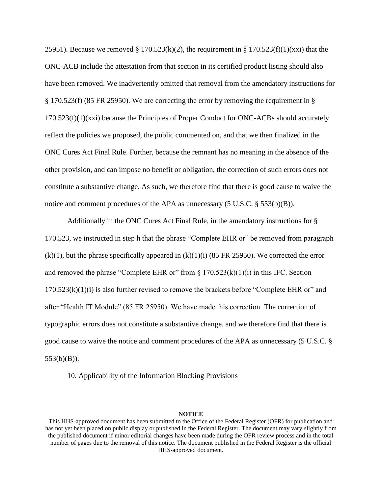25951). Because we removed § 170.523(k)(2), the requirement in § 170.523(f)(1)(xxi) that the ONC-ACB include the attestation from that section in its certified product listing should also have been removed. We inadvertently omitted that removal from the amendatory instructions for § 170.523(f) (85 FR 25950). We are correcting the error by removing the requirement in §  $170.523(f)(1)(xxi)$  because the Principles of Proper Conduct for ONC-ACBs should accurately reflect the policies we proposed, the public commented on, and that we then finalized in the ONC Cures Act Final Rule. Further, because the remnant has no meaning in the absence of the other provision, and can impose no benefit or obligation, the correction of such errors does not constitute a substantive change. As such, we therefore find that there is good cause to waive the notice and comment procedures of the APA as unnecessary  $(5 \text{ U.S.C.} \S 553(b)(B))$ .

Additionally in the ONC Cures Act Final Rule, in the amendatory instructions for § 170.523, we instructed in step h that the phrase "Complete EHR or" be removed from paragraph  $(k)(1)$ , but the phrase specifically appeared in  $(k)(1)(i)$  (85 FR 25950). We corrected the error and removed the phrase "Complete EHR or" from  $\S 170.523(k)(1)(i)$  in this IFC. Section  $170.523(k)(1)(i)$  is also further revised to remove the brackets before "Complete EHR or" and after "Health IT Module" (85 FR 25950). We have made this correction. The correction of typographic errors does not constitute a substantive change, and we therefore find that there is good cause to waive the notice and comment procedures of the APA as unnecessary (5 U.S.C. § 553(b)(B)).

10. Applicability of the Information Blocking Provisions

This HHS-approved document has been submitted to the Office of the Federal Register (OFR) for publication and has not yet been placed on public display or published in the Federal Register. The document may vary slightly from the published document if minor editorial changes have been made during the OFR review process and in the total number of pages due to the removal of this notice. The document published in the Federal Register is the official HHS-approved document.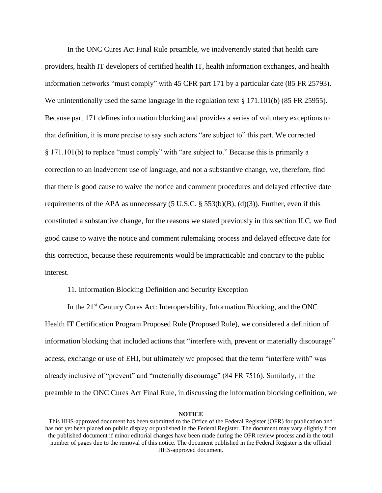In the ONC Cures Act Final Rule preamble, we inadvertently stated that health care providers, health IT developers of certified health IT, health information exchanges, and health information networks "must comply" with 45 CFR part 171 by a particular date (85 FR 25793). We unintentionally used the same language in the regulation text  $\S$  171.101(b) (85 FR 25955). Because part 171 defines information blocking and provides a series of voluntary exceptions to that definition, it is more precise to say such actors "are subject to" this part. We corrected § 171.101(b) to replace "must comply" with "are subject to." Because this is primarily a correction to an inadvertent use of language, and not a substantive change, we, therefore, find that there is good cause to waive the notice and comment procedures and delayed effective date requirements of the APA as unnecessary  $(5 \text{ U.S.C. } § 553(b)(B), (d)(3))$ . Further, even if this constituted a substantive change, for the reasons we stated previously in this section II.C, we find good cause to waive the notice and comment rulemaking process and delayed effective date for this correction, because these requirements would be impracticable and contrary to the public interest.

## 11. Information Blocking Definition and Security Exception

In the 21<sup>st</sup> Century Cures Act: Interoperability, Information Blocking, and the ONC Health IT Certification Program Proposed Rule (Proposed Rule), we considered a definition of information blocking that included actions that "interfere with, prevent or materially discourage" access, exchange or use of EHI, but ultimately we proposed that the term "interfere with" was already inclusive of "prevent" and "materially discourage" (84 FR 7516). Similarly, in the preamble to the ONC Cures Act Final Rule, in discussing the information blocking definition, we

This HHS-approved document has been submitted to the Office of the Federal Register (OFR) for publication and has not yet been placed on public display or published in the Federal Register. The document may vary slightly from the published document if minor editorial changes have been made during the OFR review process and in the total number of pages due to the removal of this notice. The document published in the Federal Register is the official HHS-approved document.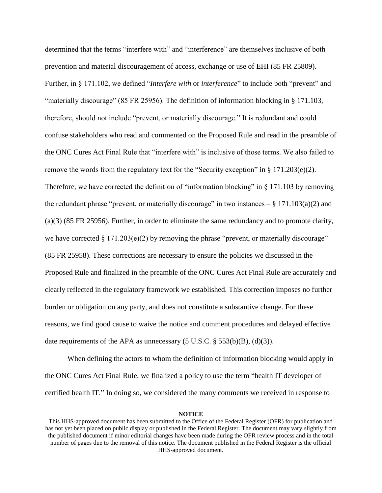determined that the terms "interfere with" and "interference" are themselves inclusive of both prevention and material discouragement of access, exchange or use of EHI (85 FR 25809). Further, in § 171.102, we defined "*Interfere with* or *interference*" to include both "prevent" and "materially discourage" (85 FR 25956). The definition of information blocking in § 171.103, therefore, should not include "prevent, or materially discourage." It is redundant and could confuse stakeholders who read and commented on the Proposed Rule and read in the preamble of the ONC Cures Act Final Rule that "interfere with" is inclusive of those terms. We also failed to remove the words from the regulatory text for the "Security exception" in § 171.203(e)(2). Therefore, we have corrected the definition of "information blocking" in § 171.103 by removing the redundant phrase "prevent, or materially discourage" in two instances  $-\frac{8}{9}$  171.103(a)(2) and (a)(3) (85 FR 25956). Further, in order to eliminate the same redundancy and to promote clarity, we have corrected  $\S 171.203(e)(2)$  by removing the phrase "prevent, or materially discourage" (85 FR 25958). These corrections are necessary to ensure the policies we discussed in the Proposed Rule and finalized in the preamble of the ONC Cures Act Final Rule are accurately and clearly reflected in the regulatory framework we established. This correction imposes no further burden or obligation on any party, and does not constitute a substantive change. For these reasons, we find good cause to waive the notice and comment procedures and delayed effective date requirements of the APA as unnecessary  $(5 \text{ U.S.C.} \S 553(b)(B), (d)(3))$ .

When defining the actors to whom the definition of information blocking would apply in the ONC Cures Act Final Rule, we finalized a policy to use the term "health IT developer of certified health IT." In doing so, we considered the many comments we received in response to

This HHS-approved document has been submitted to the Office of the Federal Register (OFR) for publication and has not yet been placed on public display or published in the Federal Register. The document may vary slightly from the published document if minor editorial changes have been made during the OFR review process and in the total number of pages due to the removal of this notice. The document published in the Federal Register is the official HHS-approved document.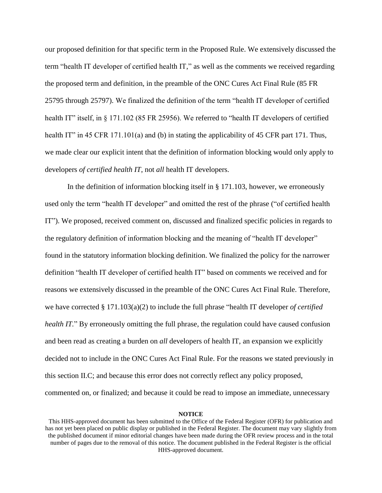our proposed definition for that specific term in the Proposed Rule. We extensively discussed the term "health IT developer of certified health IT," as well as the comments we received regarding the proposed term and definition, in the preamble of the ONC Cures Act Final Rule (85 FR 25795 through 25797). We finalized the definition of the term "health IT developer of certified health IT" itself, in § 171.102 (85 FR 25956). We referred to "health IT developers of certified health IT" in 45 CFR 171.101(a) and (b) in stating the applicability of 45 CFR part 171. Thus, we made clear our explicit intent that the definition of information blocking would only apply to developers *of certified health IT*, not *all* health IT developers.

In the definition of information blocking itself in § 171.103, however, we erroneously used only the term "health IT developer" and omitted the rest of the phrase ("of certified health IT"). We proposed, received comment on, discussed and finalized specific policies in regards to the regulatory definition of information blocking and the meaning of "health IT developer" found in the statutory information blocking definition. We finalized the policy for the narrower definition "health IT developer of certified health IT" based on comments we received and for reasons we extensively discussed in the preamble of the ONC Cures Act Final Rule. Therefore, we have corrected § 171.103(a)(2) to include the full phrase "health IT developer *of certified health IT.*" By erroneously omitting the full phrase, the regulation could have caused confusion and been read as creating a burden on *all* developers of health IT, an expansion we explicitly decided not to include in the ONC Cures Act Final Rule. For the reasons we stated previously in this section II.C; and because this error does not correctly reflect any policy proposed, commented on, or finalized; and because it could be read to impose an immediate, unnecessary

This HHS-approved document has been submitted to the Office of the Federal Register (OFR) for publication and has not yet been placed on public display or published in the Federal Register. The document may vary slightly from the published document if minor editorial changes have been made during the OFR review process and in the total number of pages due to the removal of this notice. The document published in the Federal Register is the official HHS-approved document.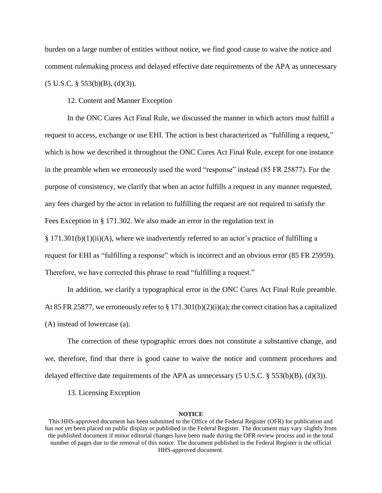burden on a large number of entities without notice, we find good cause to waive the notice and comment rulemaking process and delayed effective date requirements of the APA as unnecessary  $(5 \text{ U.S.C. } § 553(b)(B), (d)(3)).$ 

12. Content and Manner Exception

In the ONC Cures Act Final Rule, we discussed the manner in which actors must fulfill a request to access, exchange or use EHI. The action is best characterized as "fulfilling a request," which is how we described it throughout the ONC Cures Act Final Rule, except for one instance in the preamble when we erroneously used the word "response" instead (85 FR 25877). For the purpose of consistency, we clarify that when an actor fulfills a request in any manner requested, any fees charged by the actor in relation to fulfilling the request are not required to satisfy the Fees Exception in § 171.302. We also made an error in the regulation text in  $\S 171.301(b)(1)(ii)(A)$ , where we inadvertently referred to an actor's practice of fulfilling a

request for EHI as "fulfilling a response" which is incorrect and an obvious error (85 FR 25959). Therefore, we have corrected this phrase to read "fulfilling a request."

In addition, we clarify a typographical error in the ONC Cures Act Final Rule preamble. At 85 FR 25877, we erroneously refer to § 171.301(b)(2)(i)(a); the correct citation has a capitalized (A) instead of lowercase (a).

The correction of these typographic errors does not constitute a substantive change, and we, therefore, find that there is good cause to waive the notice and comment procedures and delayed effective date requirements of the APA as unnecessary (5 U.S.C. § 553(b)(B), (d)(3)).

13. Licensing Exception

This HHS-approved document has been submitted to the Office of the Federal Register (OFR) for publication and has not yet been placed on public display or published in the Federal Register. The document may vary slightly from the published document if minor editorial changes have been made during the OFR review process and in the total number of pages due to the removal of this notice. The document published in the Federal Register is the official HHS-approved document.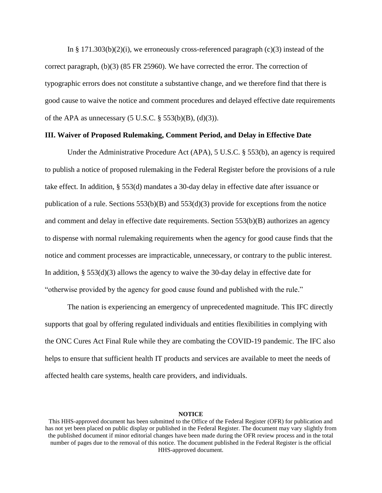In § 171.303(b)(2)(i), we erroneously cross-referenced paragraph (c)(3) instead of the correct paragraph, (b)(3) (85 FR 25960). We have corrected the error. The correction of typographic errors does not constitute a substantive change, and we therefore find that there is good cause to waive the notice and comment procedures and delayed effective date requirements of the APA as unnecessary  $(5 U.S.C. § 553(b)(B), (d)(3))$ .

# **III. Waiver of Proposed Rulemaking, Comment Period, and Delay in Effective Date**

Under the Administrative Procedure Act (APA), 5 U.S.C. § 553(b), an agency is required to publish a notice of proposed rulemaking in the Federal Register before the provisions of a rule take effect. In addition, § 553(d) mandates a 30-day delay in effective date after issuance or publication of a rule. Sections  $553(b)(B)$  and  $553(d)(3)$  provide for exceptions from the notice and comment and delay in effective date requirements. Section 553(b)(B) authorizes an agency to dispense with normal rulemaking requirements when the agency for good cause finds that the notice and comment processes are impracticable, unnecessary, or contrary to the public interest. In addition, § 553(d)(3) allows the agency to waive the 30-day delay in effective date for "otherwise provided by the agency for good cause found and published with the rule."

The nation is experiencing an emergency of unprecedented magnitude. This IFC directly supports that goal by offering regulated individuals and entities flexibilities in complying with the ONC Cures Act Final Rule while they are combating the COVID-19 pandemic. The IFC also helps to ensure that sufficient health IT products and services are available to meet the needs of affected health care systems, health care providers, and individuals.

This HHS-approved document has been submitted to the Office of the Federal Register (OFR) for publication and has not yet been placed on public display or published in the Federal Register. The document may vary slightly from the published document if minor editorial changes have been made during the OFR review process and in the total number of pages due to the removal of this notice. The document published in the Federal Register is the official HHS-approved document.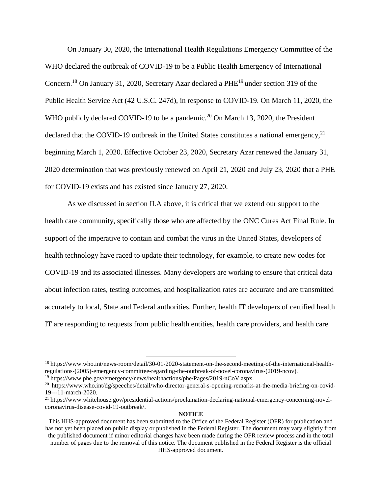On January 30, 2020, the International Health Regulations Emergency Committee of the WHO declared the outbreak of COVID-19 to be a Public Health Emergency of International Concern.<sup>18</sup> On January 31, 2020, Secretary Azar declared a PHE<sup>19</sup> under section 319 of the Public Health Service Act (42 [U.S.C.](https://www.govinfo.gov/link/uscode/42/247?type=usc&year=mostrecent&link-type=html) 247d), in response to COVID-19. On March 11, 2020, the WHO publicly declared COVID-19 to be a pandemic.<sup>20</sup> On March 13, 2020, the President declared that the COVID-19 outbreak in the United States constitutes a national emergency,  $2<sup>1</sup>$ beginning March 1, 2020. Effective October 23, 2020, Secretary Azar renewed the January 31, 2020 determination that was previously renewed on April 21, 2020 and July 23, 2020 that a PHE for COVID-19 exists and has existed since January 27, 2020.

As we discussed in section II.A above, it is critical that we extend our support to the health care community, specifically those who are affected by the ONC Cures Act Final Rule. In support of the imperative to contain and combat the virus in the United States, developers of health technology have raced to update their technology, for example, to create new codes for COVID-19 and its associated illnesses. Many developers are working to ensure that critical data about infection rates, testing outcomes, and hospitalization rates are accurate and are transmitted accurately to local, State and Federal authorities. Further, health IT developers of certified health IT are responding to requests from public health entities, health care providers, and health care

 $\overline{a}$ 

<sup>18</sup> [https://www.who.int/news-room/detail/30-01-2020-statement-on-the-second-meeting-of-the-international-health](https://www.who.int/news-room/detail/30-01-2020-statement-on-the-second-meeting-of-the-international-health-regulations-(2005)-emergency-committee-regarding-the-outbreak-of-novel-coronavirus-(2019-ncov))[regulations-\(2005\)-emergency-committee-regarding-the-outbreak-of-novel-coronavirus-\(2019-ncov\).](https://www.who.int/news-room/detail/30-01-2020-statement-on-the-second-meeting-of-the-international-health-regulations-(2005)-emergency-committee-regarding-the-outbreak-of-novel-coronavirus-(2019-ncov))

<sup>&</sup>lt;sup>19</sup> [https://www.phe.gov/emergency/news/healthactions/phe/Pages/2019-nCoV.aspx.](https://www.phe.gov/emergency/news/healthactions/phe/Pages/2019-nCoV.aspx)

<sup>&</sup>lt;sup>20</sup> [https://www.who.int/dg/speeches/detail/who-director-general-s-opening-remarks-at-the-media-briefing-on-covid-](https://www.who.int/dg/speeches/detail/who-director-general-s-opening-remarks-at-the-media-briefing-on-covid-19---11-march-2020)[19---11-march-2020.](https://www.who.int/dg/speeches/detail/who-director-general-s-opening-remarks-at-the-media-briefing-on-covid-19---11-march-2020)

<sup>21</sup> [https://www.whitehouse.gov/presidential-actions/proclamation-declaring-national-emergency-concerning-novel](https://www.whitehouse.gov/presidential-actions/proclamation-declaring-national-emergency-concerning-novel-coronavirus-disease-covid-19-outbreak/)[coronavirus-disease-covid-19-outbreak/.](https://www.whitehouse.gov/presidential-actions/proclamation-declaring-national-emergency-concerning-novel-coronavirus-disease-covid-19-outbreak/)

This HHS-approved document has been submitted to the Office of the Federal Register (OFR) for publication and has not yet been placed on public display or published in the Federal Register. The document may vary slightly from the published document if minor editorial changes have been made during the OFR review process and in the total number of pages due to the removal of this notice. The document published in the Federal Register is the official HHS-approved document.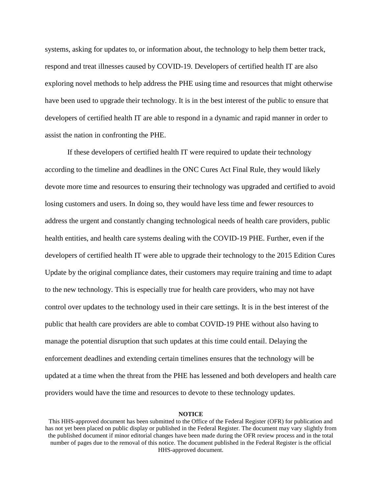systems, asking for updates to, or information about, the technology to help them better track, respond and treat illnesses caused by COVID-19. Developers of certified health IT are also exploring novel methods to help address the PHE using time and resources that might otherwise have been used to upgrade their technology. It is in the best interest of the public to ensure that developers of certified health IT are able to respond in a dynamic and rapid manner in order to assist the nation in confronting the PHE.

If these developers of certified health IT were required to update their technology according to the timeline and deadlines in the ONC Cures Act Final Rule, they would likely devote more time and resources to ensuring their technology was upgraded and certified to avoid losing customers and users. In doing so, they would have less time and fewer resources to address the urgent and constantly changing technological needs of health care providers, public health entities, and health care systems dealing with the COVID-19 PHE. Further, even if the developers of certified health IT were able to upgrade their technology to the 2015 Edition Cures Update by the original compliance dates, their customers may require training and time to adapt to the new technology. This is especially true for health care providers, who may not have control over updates to the technology used in their care settings. It is in the best interest of the public that health care providers are able to combat COVID-19 PHE without also having to manage the potential disruption that such updates at this time could entail. Delaying the enforcement deadlines and extending certain timelines ensures that the technology will be updated at a time when the threat from the PHE has lessened and both developers and health care providers would have the time and resources to devote to these technology updates.

This HHS-approved document has been submitted to the Office of the Federal Register (OFR) for publication and has not yet been placed on public display or published in the Federal Register. The document may vary slightly from the published document if minor editorial changes have been made during the OFR review process and in the total number of pages due to the removal of this notice. The document published in the Federal Register is the official HHS-approved document.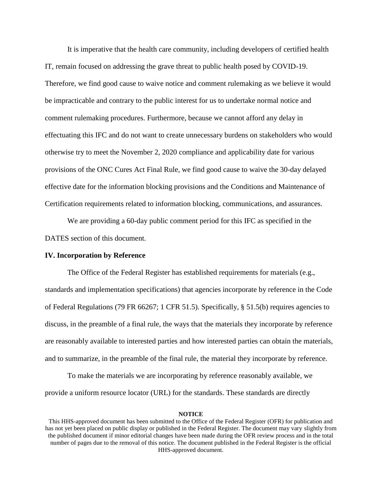It is imperative that the health care community, including developers of certified health IT, remain focused on addressing the grave threat to public health posed by COVID-19. Therefore, we find good cause to waive notice and comment rulemaking as we believe it would be impracticable and contrary to the public interest for us to undertake normal notice and comment rulemaking procedures. Furthermore, because we cannot afford any delay in effectuating this IFC and do not want to create unnecessary burdens on stakeholders who would otherwise try to meet the November 2, 2020 compliance and applicability date for various provisions of the ONC Cures Act Final Rule, we find good cause to waive the 30-day delayed effective date for the information blocking provisions and the Conditions and Maintenance of Certification requirements related to information blocking, communications, and assurances.

We are providing a 60-day public comment period for this IFC as specified in the DATES section of this document.

#### **IV. Incorporation by Reference**

The Office of the Federal Register has established requirements for materials (e.g., standards and implementation specifications) that agencies incorporate by reference in the Code of Federal Regulations (79 FR 66267; 1 CFR 51.5). Specifically, § 51.5(b) requires agencies to discuss, in the preamble of a final rule, the ways that the materials they incorporate by reference are reasonably available to interested parties and how interested parties can obtain the materials, and to summarize, in the preamble of the final rule, the material they incorporate by reference.

To make the materials we are incorporating by reference reasonably available, we provide a uniform resource locator (URL) for the standards. These standards are directly

This HHS-approved document has been submitted to the Office of the Federal Register (OFR) for publication and has not yet been placed on public display or published in the Federal Register. The document may vary slightly from the published document if minor editorial changes have been made during the OFR review process and in the total number of pages due to the removal of this notice. The document published in the Federal Register is the official HHS-approved document.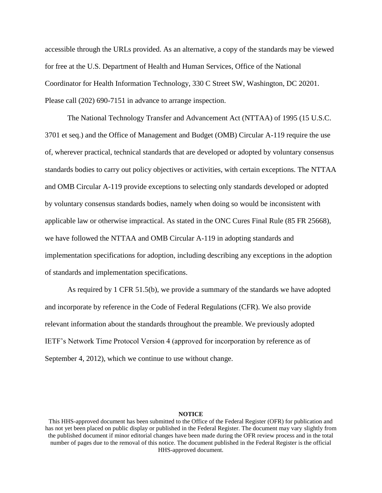accessible through the URLs provided. As an alternative, a copy of the standards may be viewed for free at the U.S. Department of Health and Human Services, Office of the National Coordinator for Health Information Technology, 330 C Street SW, Washington, DC 20201. Please call (202) 690-7151 in advance to arrange inspection.

The National Technology Transfer and Advancement Act (NTTAA) of 1995 (15 U.S.C. 3701 et seq.) and the Office of Management and Budget (OMB) Circular A-119 require the use of, wherever practical, technical standards that are developed or adopted by voluntary consensus standards bodies to carry out policy objectives or activities, with certain exceptions. The NTTAA and OMB Circular A-119 provide exceptions to selecting only standards developed or adopted by voluntary consensus standards bodies, namely when doing so would be inconsistent with applicable law or otherwise impractical. As stated in the ONC Cures Final Rule (85 FR 25668), we have followed the NTTAA and OMB Circular A-119 in adopting standards and implementation specifications for adoption, including describing any exceptions in the adoption of standards and implementation specifications.

As required by 1 CFR 51.5(b), we provide a summary of the standards we have adopted and incorporate by reference in the Code of Federal Regulations (CFR). We also provide relevant information about the standards throughout the preamble. We previously adopted IETF's Network Time Protocol Version 4 (approved for incorporation by reference as of September 4, 2012), which we continue to use without change.

This HHS-approved document has been submitted to the Office of the Federal Register (OFR) for publication and has not yet been placed on public display or published in the Federal Register. The document may vary slightly from the published document if minor editorial changes have been made during the OFR review process and in the total number of pages due to the removal of this notice. The document published in the Federal Register is the official HHS-approved document.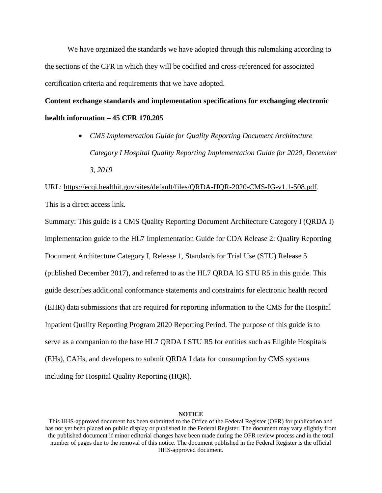We have organized the standards we have adopted through this rulemaking according to the sections of the CFR in which they will be codified and cross-referenced for associated certification criteria and requirements that we have adopted.

**Content exchange standards and implementation specifications for exchanging electronic health information – 45 CFR 170.205**

> *CMS Implementation Guide for Quality Reporting Document Architecture Category I Hospital Quality Reporting Implementation Guide for 2020, December 3, 2019*

URL: [https://ecqi.healthit.gov/sites/default/files/QRDA-HQR-2020-CMS-IG-v1.1-508.pdf.](https://ecqi.healthit.gov/sites/default/files/QRDA-HQR-2020-CMS-IG-v1.1-508.pdf) This is a direct access link.

Summary: This guide is a CMS Quality Reporting Document Architecture Category I (QRDA I) implementation guide to the HL7 Implementation Guide for CDA Release 2: Quality Reporting Document Architecture Category I, Release 1, Standards for Trial Use (STU) Release 5 (published December 2017), and referred to as the HL7 QRDA IG STU R5 in this guide. This guide describes additional conformance statements and constraints for electronic health record (EHR) data submissions that are required for reporting information to the CMS for the Hospital Inpatient Quality Reporting Program 2020 Reporting Period. The purpose of this guide is to serve as a companion to the base HL7 QRDA I STU R5 for entities such as Eligible Hospitals (EHs), CAHs, and developers to submit QRDA I data for consumption by CMS systems including for Hospital Quality Reporting (HQR).

This HHS-approved document has been submitted to the Office of the Federal Register (OFR) for publication and has not yet been placed on public display or published in the Federal Register. The document may vary slightly from the published document if minor editorial changes have been made during the OFR review process and in the total number of pages due to the removal of this notice. The document published in the Federal Register is the official HHS-approved document.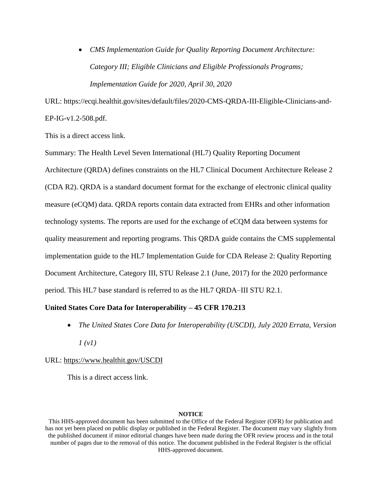*CMS Implementation Guide for Quality Reporting Document Architecture: Category III; Eligible Clinicians and Eligible Professionals Programs; Implementation Guide for 2020, April 30, 2020*

URL: [https://ecqi.healthit.gov/sites/default/files/2020-CMS-QRDA-III-Eligible-Clinicians-and-](https://ecqi.healthit.gov/sites/default/files/2020-CMS-QRDA-III-Eligible-Clinicians-and-EP-IG-v1.2-508.pdf)[EP-IG-v1.2-508.pdf.](https://ecqi.healthit.gov/sites/default/files/2020-CMS-QRDA-III-Eligible-Clinicians-and-EP-IG-v1.2-508.pdf)

This is a direct access link.

Summary: The Health Level Seven International (HL7) Quality Reporting Document Architecture (QRDA) defines constraints on the HL7 Clinical Document Architecture Release 2 (CDA R2). QRDA is a standard document format for the exchange of electronic clinical quality measure (eCQM) data. QRDA reports contain data extracted from EHRs and other information technology systems. The reports are used for the exchange of eCQM data between systems for quality measurement and reporting programs. This QRDA guide contains the CMS supplemental implementation guide to the HL7 Implementation Guide for CDA Release 2: Quality Reporting Document Architecture, Category III, STU Release 2.1 (June, 2017) for the 2020 performance period. This HL7 base standard is referred to as the HL7 QRDA–III STU R2.1.

# **United States Core Data for Interoperability – 45 CFR 170.213**

 *The United States Core Data for Interoperability (USCDI), July 2020 Errata, Version 1 (v1)*

# URL:<https://www.healthit.gov/USCDI>

This is a direct access link.

This HHS-approved document has been submitted to the Office of the Federal Register (OFR) for publication and has not yet been placed on public display or published in the Federal Register. The document may vary slightly from the published document if minor editorial changes have been made during the OFR review process and in the total number of pages due to the removal of this notice. The document published in the Federal Register is the official HHS-approved document.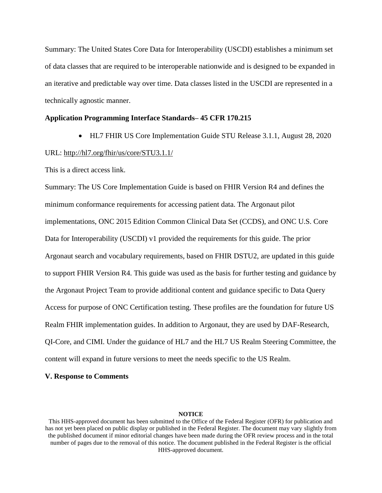Summary: The United States Core Data for Interoperability (USCDI) establishes a minimum set of data classes that are required to be interoperable nationwide and is designed to be expanded in an iterative and predictable way over time. Data classes listed in the USCDI are represented in a technically agnostic manner.

## **Application Programming Interface Standards– 45 CFR 170.215**

HL7 FHIR US Core Implementation Guide STU Release 3.1.1, August 28, 2020

#### URL:<http://hl7.org/fhir/us/core/STU3.1.1/>

This is a direct access link.

Summary: The US Core Implementation Guide is based on FHIR Version R4 and defines the minimum conformance requirements for accessing patient data. The Argonaut pilot implementations, ONC 2015 Edition Common Clinical Data Set (CCDS), and ONC U.S. Core Data for Interoperability (USCDI) v1 provided the requirements for this guide. The prior Argonaut search and vocabulary requirements, based on FHIR DSTU2, are updated in this guide to support FHIR Version R4. This guide was used as the basis for further testing and guidance by the Argonaut Project Team to provide additional content and guidance specific to Data Query Access for purpose of ONC Certification testing. These profiles are the foundation for future US Realm FHIR implementation guides. In addition to Argonaut, they are used by DAF-Research, QI-Core, and CIMI. Under the guidance of HL7 and the HL7 US Realm Steering Committee, the content will expand in future versions to meet the needs specific to the US Realm.

## **V. Response to Comments**

This HHS-approved document has been submitted to the Office of the Federal Register (OFR) for publication and has not yet been placed on public display or published in the Federal Register. The document may vary slightly from the published document if minor editorial changes have been made during the OFR review process and in the total number of pages due to the removal of this notice. The document published in the Federal Register is the official HHS-approved document.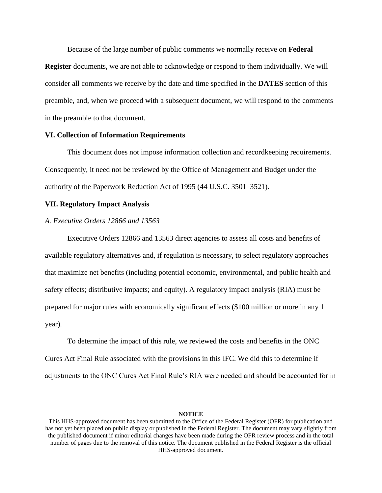Because of the large number of public comments we normally receive on **Federal Register** documents, we are not able to acknowledge or respond to them individually. We will consider all comments we receive by the date and time specified in the **DATES** section of this preamble, and, when we proceed with a subsequent document, we will respond to the comments in the preamble to that document.

# **VI. Collection of Information Requirements**

This document does not impose information collection and recordkeeping requirements. Consequently, it need not be reviewed by the Office of Management and Budget under the authority of the Paperwork Reduction Act of 1995 (44 U.S.C. 3501–3521).

# **VII. Regulatory Impact Analysis**

## *A. Executive Orders 12866 and 13563*

Executive Orders 12866 and 13563 direct agencies to assess all costs and benefits of available regulatory alternatives and, if regulation is necessary, to select regulatory approaches that maximize net benefits (including potential economic, environmental, and public health and safety effects; distributive impacts; and equity). A regulatory impact analysis (RIA) must be prepared for major rules with economically significant effects (\$100 million or more in any 1 year).

To determine the impact of this rule, we reviewed the costs and benefits in the ONC Cures Act Final Rule associated with the provisions in this IFC. We did this to determine if adjustments to the ONC Cures Act Final Rule's RIA were needed and should be accounted for in

This HHS-approved document has been submitted to the Office of the Federal Register (OFR) for publication and has not yet been placed on public display or published in the Federal Register. The document may vary slightly from the published document if minor editorial changes have been made during the OFR review process and in the total number of pages due to the removal of this notice. The document published in the Federal Register is the official HHS-approved document.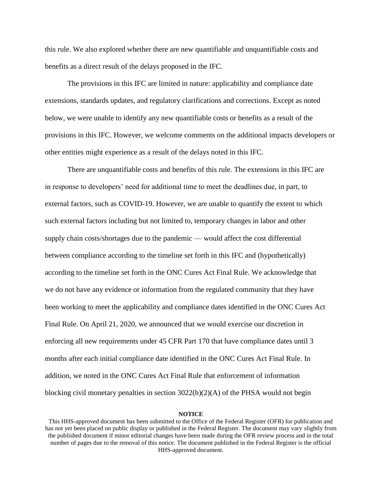this rule. We also explored whether there are new quantifiable and unquantifiable costs and benefits as a direct result of the delays proposed in the IFC.

The provisions in this IFC are limited in nature: applicability and compliance date extensions, standards updates, and regulatory clarifications and corrections. Except as noted below, we were unable to identify any new quantifiable costs or benefits as a result of the provisions in this IFC. However, we welcome comments on the additional impacts developers or other entities might experience as a result of the delays noted in this IFC.

There are unquantifiable costs and benefits of this rule. The extensions in this IFC are in response to developers' need for additional time to meet the deadlines due, in part, to external factors, such as COVID-19. However, we are unable to quantify the extent to which such external factors including but not limited to, temporary changes in labor and other supply chain costs/shortages due to the pandemic — would affect the cost differential between compliance according to the timeline set forth in this IFC and (hypothetically) according to the timeline set forth in the ONC Cures Act Final Rule. We acknowledge that we do not have any evidence or information from the regulated community that they have been working to meet the applicability and compliance dates identified in the ONC Cures Act Final Rule. On April 21, 2020, we announced that we would exercise our discretion in enforcing all new requirements under 45 CFR Part 170 that have compliance dates until 3 months after each initial compliance date identified in the ONC Cures Act Final Rule. In addition, we noted in the ONC Cures Act Final Rule that enforcement of information blocking civil monetary penalties in section  $3022(b)(2)(A)$  of the PHSA would not begin

This HHS-approved document has been submitted to the Office of the Federal Register (OFR) for publication and has not yet been placed on public display or published in the Federal Register. The document may vary slightly from the published document if minor editorial changes have been made during the OFR review process and in the total number of pages due to the removal of this notice. The document published in the Federal Register is the official HHS-approved document.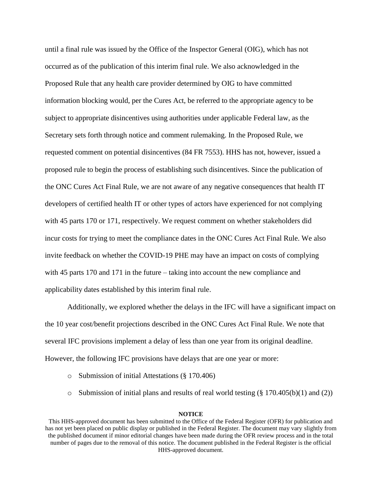until a final rule was issued by the Office of the Inspector General (OIG), which has not occurred as of the publication of this interim final rule. We also acknowledged in the Proposed Rule that any health care provider determined by OIG to have committed information blocking would, per the Cures Act, be referred to the appropriate agency to be subject to appropriate disincentives using authorities under applicable Federal law, as the Secretary sets forth through notice and comment rulemaking. In the Proposed Rule, we requested comment on potential disincentives (84 FR 7553). HHS has not, however, issued a proposed rule to begin the process of establishing such disincentives. Since the publication of the ONC Cures Act Final Rule, we are not aware of any negative consequences that health IT developers of certified health IT or other types of actors have experienced for not complying with 45 parts 170 or 171, respectively. We request comment on whether stakeholders did incur costs for trying to meet the compliance dates in the ONC Cures Act Final Rule. We also invite feedback on whether the COVID-19 PHE may have an impact on costs of complying with 45 parts 170 and 171 in the future – taking into account the new compliance and applicability dates established by this interim final rule.

Additionally, we explored whether the delays in the IFC will have a significant impact on the 10 year cost/benefit projections described in the ONC Cures Act Final Rule. We note that several IFC provisions implement a delay of less than one year from its original deadline. However, the following IFC provisions have delays that are one year or more:

- o Submission of initial Attestations (§ 170.406)
- $\circ$  Submission of initial plans and results of real world testing (§ 170.405(b)(1) and (2))

This HHS-approved document has been submitted to the Office of the Federal Register (OFR) for publication and has not yet been placed on public display or published in the Federal Register. The document may vary slightly from the published document if minor editorial changes have been made during the OFR review process and in the total number of pages due to the removal of this notice. The document published in the Federal Register is the official HHS-approved document.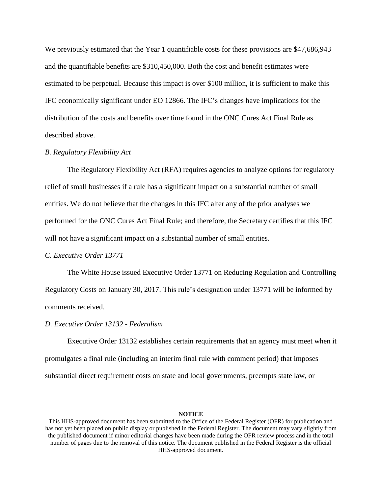We previously estimated that the Year 1 quantifiable costs for these provisions are \$47,686,943 and the quantifiable benefits are \$310,450,000. Both the cost and benefit estimates were estimated to be perpetual. Because this impact is over \$100 million, it is sufficient to make this IFC economically significant under EO 12866. The IFC's changes have implications for the distribution of the costs and benefits over time found in the ONC Cures Act Final Rule as described above.

# *B. Regulatory Flexibility Act*

The Regulatory Flexibility Act (RFA) requires agencies to analyze options for regulatory relief of small businesses if a rule has a significant impact on a substantial number of small entities. We do not believe that the changes in this IFC alter any of the prior analyses we performed for the ONC Cures Act Final Rule; and therefore, the Secretary certifies that this IFC will not have a significant impact on a substantial number of small entities.

## *C. Executive Order 13771*

The White House issued Executive Order 13771 on Reducing Regulation and Controlling Regulatory Costs on January 30, 2017. This rule's designation under 13771 will be informed by comments received.

#### *D. Executive Order 13132 - Federalism*

Executive Order 13132 establishes certain requirements that an agency must meet when it promulgates a final rule (including an interim final rule with comment period) that imposes substantial direct requirement costs on state and local governments, preempts state law, or

This HHS-approved document has been submitted to the Office of the Federal Register (OFR) for publication and has not yet been placed on public display or published in the Federal Register. The document may vary slightly from the published document if minor editorial changes have been made during the OFR review process and in the total number of pages due to the removal of this notice. The document published in the Federal Register is the official HHS-approved document.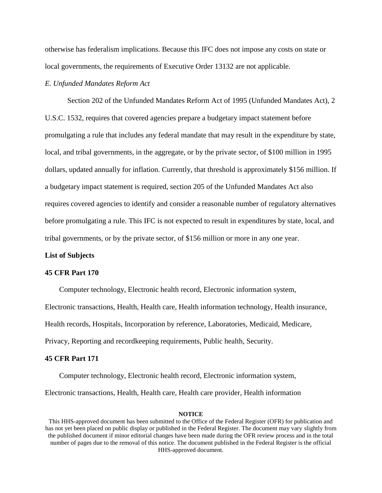otherwise has federalism implications. Because this IFC does not impose any costs on state or local governments, the requirements of Executive Order 13132 are not applicable.

# *E. Unfunded Mandates Reform Act*

Section 202 of the Unfunded Mandates Reform Act of 1995 (Unfunded Mandates Act), 2 U.S.C. 1532, requires that covered agencies prepare a budgetary impact statement before promulgating a rule that includes any federal mandate that may result in the expenditure by state, local, and tribal governments, in the aggregate, or by the private sector, of \$100 million in 1995 dollars, updated annually for inflation. Currently, that threshold is approximately \$156 million. If a budgetary impact statement is required, section 205 of the Unfunded Mandates Act also requires covered agencies to identify and consider a reasonable number of regulatory alternatives before promulgating a rule. This IFC is not expected to result in expenditures by state, local, and tribal governments, or by the private sector, of \$156 million or more in any one year.

# **List of Subjects**

#### **45 CFR Part 170**

Computer technology, Electronic health record, Electronic information system,

Electronic transactions, Health, Health care, Health information technology, Health insurance,

Health records, Hospitals, Incorporation by reference, Laboratories, Medicaid, Medicare,

Privacy, Reporting and recordkeeping requirements, Public health, Security.

#### **45 CFR Part 171**

Computer technology, Electronic health record, Electronic information system,

Electronic transactions, Health, Health care, Health care provider, Health information

This HHS-approved document has been submitted to the Office of the Federal Register (OFR) for publication and has not yet been placed on public display or published in the Federal Register. The document may vary slightly from the published document if minor editorial changes have been made during the OFR review process and in the total number of pages due to the removal of this notice. The document published in the Federal Register is the official HHS-approved document.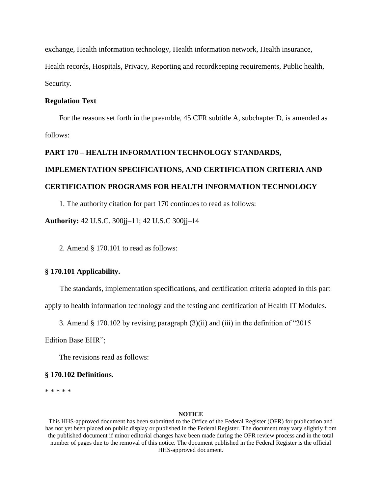exchange, Health information technology, Health information network, Health insurance, Health records, Hospitals, Privacy, Reporting and recordkeeping requirements, Public health, Security.

# **Regulation Text**

For the reasons set forth in the preamble, 45 CFR subtitle A, subchapter D, is amended as follows:

# **PART 170 – HEALTH INFORMATION TECHNOLOGY STANDARDS, IMPLEMENTATION SPECIFICATIONS, AND CERTIFICATION CRITERIA AND CERTIFICATION PROGRAMS FOR HEALTH INFORMATION TECHNOLOGY**

1. The authority citation for part 170 continues to read as follows:

**Authority:** 42 U.S.C. 300jj–11; 42 U.S.C 300jj–14

2. Amend § 170.101 to read as follows:

# **§ 170.101 Applicability.**

The standards, implementation specifications, and certification criteria adopted in this part

apply to health information technology and the testing and certification of Health IT Modules.

3. Amend § 170.102 by revising paragraph (3)(ii) and (iii) in the definition of "2015

Edition Base EHR";

The revisions read as follows:

## **§ 170.102 Definitions.**

\* \* \* \* \*

#### **NOTICE**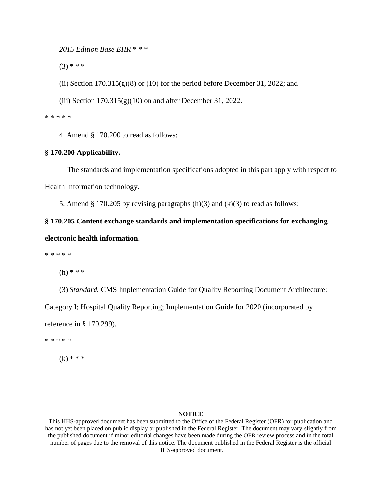*2015 Edition Base EHR* \* \* \*

 $(3)$  \* \* \*

(ii) Section  $170.315(g)(8)$  or (10) for the period before December 31, 2022; and

(iii) Section  $170.315(g)(10)$  on and after December 31, 2022.

\* \* \* \* \*

4. Amend § 170.200 to read as follows:

# **§ 170.200 Applicability.**

The standards and implementation specifications adopted in this part apply with respect to Health Information technology.

5. Amend § 170.205 by revising paragraphs  $(h)(3)$  and  $(k)(3)$  to read as follows:

**§ 170.205 Content exchange standards and implementation specifications for exchanging electronic health information**.

\* \* \* \* \*

(h) \* \* \*

(3) *Standard.* CMS Implementation Guide for Quality Reporting Document Architecture:

Category I; Hospital Quality Reporting; Implementation Guide for 2020 (incorporated by

reference in § 170.299).

\* \* \* \* \*

 $(k)$  \* \* \*

#### **NOTICE**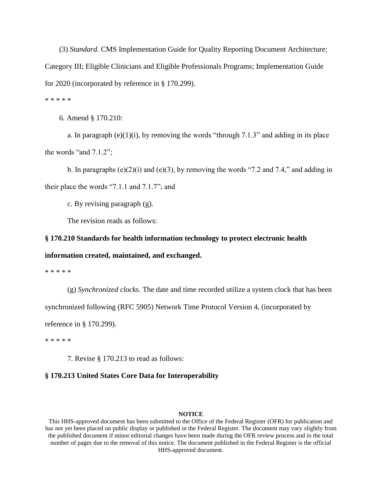(3) *Standard.* CMS Implementation Guide for Quality Reporting Document Architecture: Category III; Eligible Clinicians and Eligible Professionals Programs; Implementation Guide for 2020 (incorporated by reference in § 170.299).

\* \* \* \* \*

6. Amend § 170.210:

a. In paragraph  $(e)(1)(i)$ , by removing the words "through 7.1.3" and adding in its place the words "and 7.1.2";

b. In paragraphs (e)(2)(i) and (e)(3), by removing the words "7.2 and 7.4," and adding in their place the words "7.1.1 and 7.1.7"; and

c. By revising paragraph (g).

The revision reads as follows:

## **§ 170.210 Standards for health information technology to protect electronic health**

## **information created, maintained, and exchanged.**

\* \* \* \* \*

(g) *Synchronized clocks.* The date and time recorded utilize a system clock that has been

synchronized following (RFC 5905) Network Time Protocol Version 4, (incorporated by

reference in § 170.299).

\* \* \* \* \*

7. Revise § 170.213 to read as follows:

#### **§ 170.213 United States Core Data for Interoperability**

#### **NOTICE**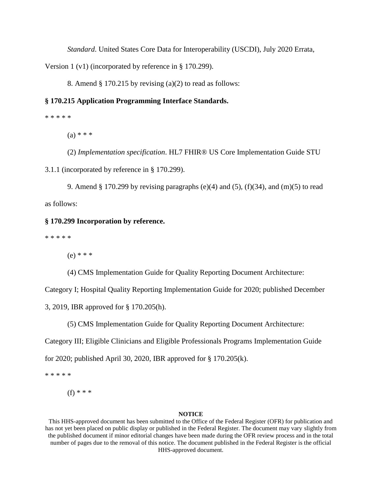*Standard*. United States Core Data for Interoperability (USCDI), July 2020 Errata,

Version 1 (v1) (incorporated by reference in § 170.299).

8. Amend  $\S 170.215$  by revising (a)(2) to read as follows:

# **§ 170.215 Application Programming Interface Standards.**

\* \* \* \* \*

 $(a) * * *$ 

(2) *Implementation specification*. HL7 FHIR® US Core Implementation Guide STU

3.1.1 (incorporated by reference in § 170.299).

9. Amend § 170.299 by revising paragraphs (e)(4) and (5), (f)(34), and (m)(5) to read as follows:

# **§ 170.299 Incorporation by reference.**

\* \* \* \* \*

 $(e) * * *$ 

(4) CMS Implementation Guide for Quality Reporting Document Architecture:

Category I; Hospital Quality Reporting Implementation Guide for 2020; published December

3, 2019, IBR approved for § 170.205(h).

(5) CMS Implementation Guide for Quality Reporting Document Architecture:

Category III; Eligible Clinicians and Eligible Professionals Programs Implementation Guide

for 2020; published April 30, 2020, IBR approved for § 170.205(k).

\* \* \* \* \*

(f) \* \* \*

#### **NOTICE**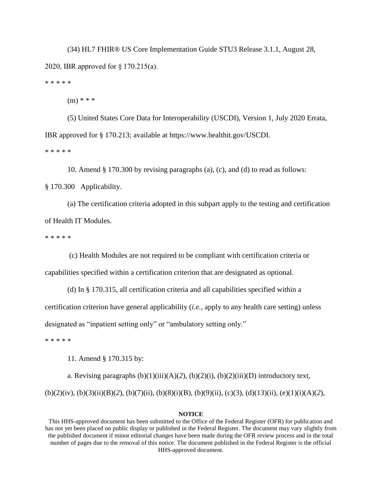(34) HL7 FHIR® US Core Implementation Guide STU3 Release 3.1.1, August 28, 2020, IBR approved for § 170.215(a). \* \* \* \* \*

 $(m)$  \* \* \*

(5) United States Core Data for Interoperability (USCDI), Version 1, July 2020 Errata, IBR approved for § 170.213; available at https://www.healthit.gov/USCDI.

\* \* \* \* \*

10. Amend § 170.300 by revising paragraphs (a), (c), and (d) to read as follows:

§ 170.300 Applicability.

(a) The certification criteria adopted in this subpart apply to the testing and certification of Health IT Modules.

\* \* \* \* \*

(c) Health Modules are not required to be compliant with certification criteria or

capabilities specified within a certification criterion that are designated as optional.

(d) In § 170.315, all certification criteria and all capabilities specified within a certification criterion have general applicability (*i.e.*, apply to any health care setting) unless designated as "inpatient setting only" or "ambulatory setting only."

\* \* \* \* \*

11. Amend § 170.315 by:

a. Revising paragraphs  $(b)(1)(iii)(A)(2)$ ,  $(b)(2)(ii)$ ,  $(b)(2)(iii)(D)$  introductory text, (b)(2)(iv), (b)(3)(ii)(B)(*2*), (b)(7)(ii), (b)(8)(i)(B), (b)(9)(ii), (c)(3), (d)(13)(ii), (e)(1)(i)(A)(*2*),

# **NOTICE**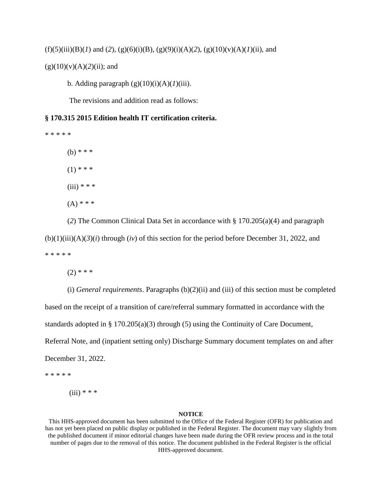# $(f)(5)(iii)(B)(I)$  and  $(2)$ ,  $(g)(6)(i)(B)$ ,  $(g)(9)(i)(A)(2)$ ,  $(g)(10)(v)(A)(I)(ii)$ , and

# $(g)(10)(v)(A)(2)(ii)$ ; and

b. Adding paragraph  $(g)(10)(i)(A)(I)(iii)$ .

The revisions and addition read as follows:

# **§ 170.315 2015 Edition health IT certification criteria.**

\* \* \* \* \* (b) \* \* \*  $(1)$  \* \* \*  $(iii) * * *$ 

 $(A)$  \* \* \*

(*2*) The Common Clinical Data Set in accordance with § 170.205(a)(4) and paragraph  $(b)(1)(iii)(A)(3)(i)$  through  $(iv)$  of this section for the period before December 31, 2022, and \* \* \* \* \*

 $(2)$  \* \* \*

(i) *General requirements*. Paragraphs (b)(2)(ii) and (iii) of this section must be completed based on the receipt of a transition of care/referral summary formatted in accordance with the standards adopted in § 170.205(a)(3) through (5) using the Continuity of Care Document, Referral Note, and (inpatient setting only) Discharge Summary document templates on and after December 31, 2022.

\* \* \* \* \*

 $(iii) * * * *$ 

## **NOTICE**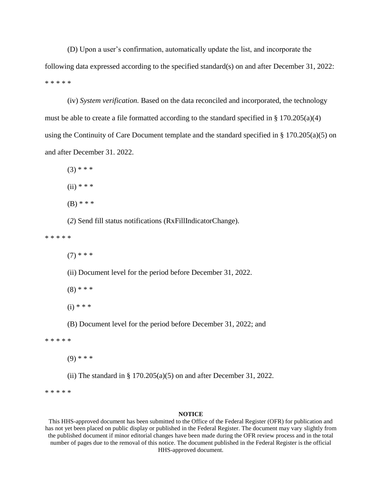(D) Upon a user's confirmation, automatically update the list, and incorporate the following data expressed according to the specified standard(s) on and after December 31, 2022: \* \* \* \* \*

(iv) *System verification.* Based on the data reconciled and incorporated, the technology must be able to create a file formatted according to the standard specified in § 170.205(a)(4) using the Continuity of Care Document template and the standard specified in § 170.205(a)(5) on and after December 31. 2022.

 $(3)$  \* \* \*

 $(ii) * * * *$ 

 $(B)$  \* \* \*

(*2*) Send fill status notifications (RxFillIndicatorChange).

\* \* \* \* \*

 $(7)$  \* \* \*

(ii) Document level for the period before December 31, 2022.

 $(8)$  \* \* \*

 $(i) * * * *$ 

(B) Document level for the period before December 31, 2022; and

\* \* \* \* \*

 $(9)$  \* \* \*

(ii) The standard in  $\S 170.205(a)(5)$  on and after December 31, 2022.

\* \* \* \* \*

#### **NOTICE**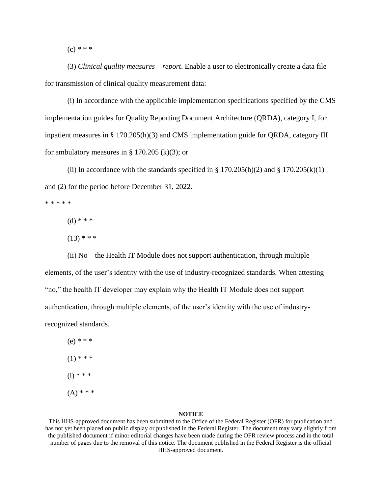$(c) * * *$ 

 (3) *Clinical quality measures – report*. Enable a user to electronically create a data file for transmission of clinical quality measurement data:

(i) In accordance with the applicable implementation specifications specified by the CMS implementation guides for Quality Reporting Document Architecture (QRDA), category I, for inpatient measures in § 170.205(h)(3) and CMS implementation guide for QRDA, category III for ambulatory measures in  $\S$  170.205 (k)(3); or

(ii) In accordance with the standards specified in § 170.205(h)(2) and § 170.205(k)(1) and (2) for the period before December 31, 2022.

\* \* \* \* \*

 $(d)$  \* \* \*

 $(13)$  \* \* \*

(ii) No – the Health IT Module does not support authentication, through multiple elements, of the user's identity with the use of industry-recognized standards. When attesting "no," the health IT developer may explain why the Health IT Module does not support authentication, through multiple elements, of the user's identity with the use of industryrecognized standards.

 $(e) * * *$  $(1)$  \* \* \*  $(i) * * * *$  $(A) * * *$ 

## **NOTICE**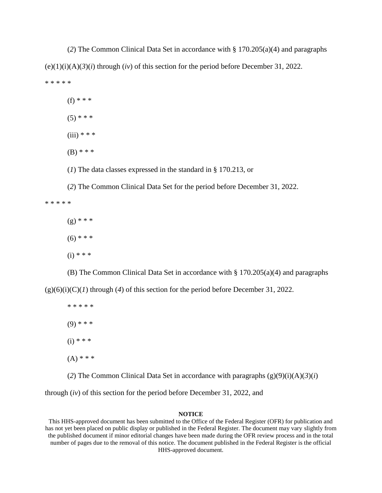(*2*) The Common Clinical Data Set in accordance with § 170.205(a)(4) and paragraphs  $(e)(1)(i)(A)(3)(i)$  through  $(iv)$  of this section for the period before December 31, 2022. \* \* \* \* \*

- (f) \* \* \*
- $(5)$  \* \* \*
- $(iii) * * *$
- $(B)$  \* \* \*

(*1*) The data classes expressed in the standard in § 170.213, or

(*2*) The Common Clinical Data Set for the period before December 31, 2022. \* \* \* \* \*

- $(g)$  \* \* \*
- $(6)$  \* \* \*
- $(i) * * *$

(B) The Common Clinical Data Set in accordance with § 170.205(a)(4) and paragraphs  $(g)(6)(i)(C)(I)$  through (4) of this section for the period before December 31, 2022.

\* \* \* \* \*  $(9)$  \* \* \*  $(i) * * *$  $(A) * * *$ 

(2) The Common Clinical Data Set in accordance with paragraphs  $(g)(9)(i)(A)(3)(i)$ 

through (*iv*) of this section for the period before December 31, 2022, and

## **NOTICE**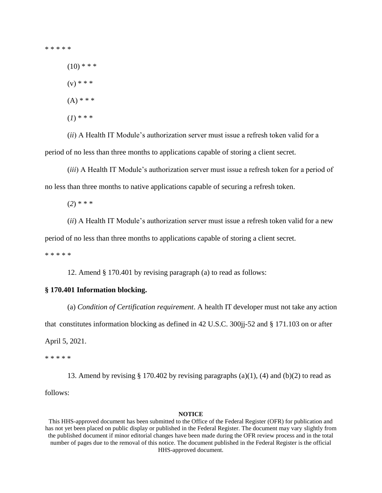\* \* \* \* \*

 $(10)$  \* \* \*

 $(v) * * *$ 

 $(A)$  \* \* \*

(*1*) \* \* \*

(*ii*) A Health IT Module's authorization server must issue a refresh token valid for a period of no less than three months to applications capable of storing a client secret.

(*iii*) A Health IT Module's authorization server must issue a refresh token for a period of no less than three months to native applications capable of securing a refresh token.

(*2*) \* \* \*

(*ii*) A Health IT Module's authorization server must issue a refresh token valid for a new period of no less than three months to applications capable of storing a client secret.

\* \* \* \* \*

12. Amend § 170.401 by revising paragraph (a) to read as follows:

# **§ 170.401 Information blocking.**

(a) *Condition of Certification requirement*. A health IT developer must not take any action that constitutes information blocking as defined in 42 U.S.C. 300jj-52 and § 171.103 on or after April 5, 2021.

\* \* \* \* \*

13. Amend by revising  $\S 170.402$  by revising paragraphs (a)(1), (4) and (b)(2) to read as follows:

# **NOTICE**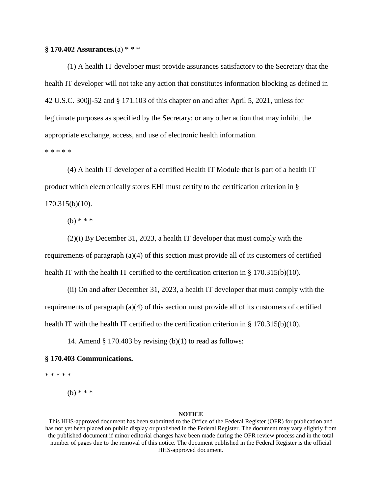**§ 170.402 Assurances.**(a) \* \* \*

(1) A health IT developer must provide assurances satisfactory to the Secretary that the health IT developer will not take any action that constitutes information blocking as defined in 42 U.S.C. 300jj-52 and § 171.103 of this chapter on and after April 5, 2021, unless for legitimate purposes as specified by the Secretary; or any other action that may inhibit the appropriate exchange, access, and use of electronic health information.

\* \* \* \* \*

(4) A health IT developer of a certified Health IT Module that is part of a health IT product which electronically stores EHI must certify to the certification criterion in § 170.315(b)(10).

 $(b)$  \* \* \*

(2)(i) By December 31, 2023, a health IT developer that must comply with the requirements of paragraph (a)(4) of this section must provide all of its customers of certified health IT with the health IT certified to the certification criterion in  $\S 170.315(b)(10)$ .

(ii) On and after December 31, 2023, a health IT developer that must comply with the requirements of paragraph (a)(4) of this section must provide all of its customers of certified health IT with the health IT certified to the certification criterion in § 170.315(b)(10).

14. Amend  $\S 170.403$  by revising (b)(1) to read as follows:

# **§ 170.403 Communications.**

\* \* \* \* \*

 $(b)$  \* \* \*

## **NOTICE**

This HHS-approved document has been submitted to the Office of the Federal Register (OFR) for publication and has not yet been placed on public display or published in the Federal Register. The document may vary slightly from the published document if minor editorial changes have been made during the OFR review process and in the total number of pages due to the removal of this notice. The document published in the Federal Register is the official HHS-approved document.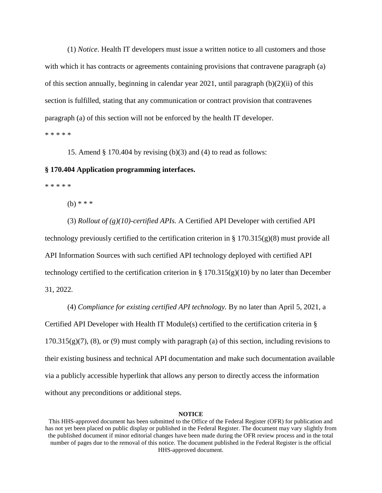(1) *Notice*. Health IT developers must issue a written notice to all customers and those with which it has contracts or agreements containing provisions that contravene paragraph (a) of this section annually, beginning in calendar year 2021, until paragraph  $(b)(2)(ii)$  of this section is fulfilled, stating that any communication or contract provision that contravenes paragraph (a) of this section will not be enforced by the health IT developer. \* \* \* \* \*

15. Amend § 170.404 by revising (b)(3) and (4) to read as follows:

# **§ 170.404 Application programming interfaces.**

\* \* \* \* \*

(b) \* \* \*

(3) *Rollout of (g)(10)-certified APIs.* A Certified API Developer with certified API technology previously certified to the certification criterion in  $\S 170.315(g)(8)$  must provide all API Information Sources with such certified API technology deployed with certified API technology certified to the certification criterion in §  $170.315(g)(10)$  by no later than December 31, 2022.

(4) *Compliance for existing certified API technology.* By no later than April 5, 2021, a Certified API Developer with Health IT Module(s) certified to the certification criteria in  $\S$  $170.315(g)(7)$ , (8), or (9) must comply with paragraph (a) of this section, including revisions to their existing business and technical API documentation and make such documentation available via a publicly accessible hyperlink that allows any person to directly access the information without any preconditions or additional steps.

# **NOTICE**

This HHS-approved document has been submitted to the Office of the Federal Register (OFR) for publication and has not yet been placed on public display or published in the Federal Register. The document may vary slightly from the published document if minor editorial changes have been made during the OFR review process and in the total number of pages due to the removal of this notice. The document published in the Federal Register is the official HHS-approved document.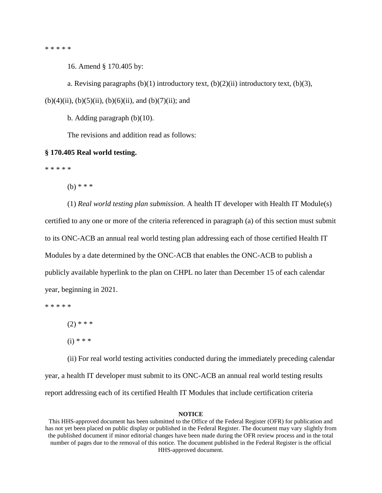\* \* \* \* \*

16. Amend § 170.405 by:

a. Revising paragraphs (b)(1) introductory text,  $(b)(2)(ii)$  introductory text,  $(b)(3)$ ,

 $(b)(4)(ii)$ ,  $(b)(5)(ii)$ ,  $(b)(6)(ii)$ , and  $(b)(7)(ii)$ ; and

b. Adding paragraph (b)(10).

The revisions and addition read as follows:

## **§ 170.405 Real world testing.**

\* \* \* \* \*

 $(h) * * *$ 

(1) *Real world testing plan submission.* A health IT developer with Health IT Module(s) certified to any one or more of the criteria referenced in paragraph (a) of this section must submit to its ONC-ACB an annual real world testing plan addressing each of those certified Health IT Modules by a date determined by the ONC-ACB that enables the ONC-ACB to publish a publicly available hyperlink to the plan on CHPL no later than December 15 of each calendar year, beginning in 2021.

\* \* \* \* \*

 $(2)$  \* \* \*

 $(i) * * *$ 

(ii) For real world testing activities conducted during the immediately preceding calendar year, a health IT developer must submit to its ONC-ACB an annual real world testing results report addressing each of its certified Health IT Modules that include certification criteria

## **NOTICE**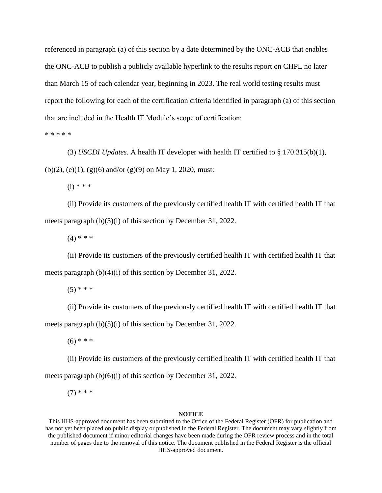referenced in paragraph (a) of this section by a date determined by the ONC-ACB that enables the ONC-ACB to publish a publicly available hyperlink to the results report on CHPL no later than March 15 of each calendar year, beginning in 2023. The real world testing results must report the following for each of the certification criteria identified in paragraph (a) of this section that are included in the Health IT Module's scope of certification:

\* \* \* \* \*

(3) *USCDI Updates*. A health IT developer with health IT certified to § 170.315(b)(1), (b)(2), (e)(1), (g)(6) and/or (g)(9) on May 1, 2020, must:

 $(i) * * * *$ 

(ii) Provide its customers of the previously certified health IT with certified health IT that meets paragraph (b)(3)(i) of this section by December 31, 2022.

 $(4)$  \* \* \*

(ii) Provide its customers of the previously certified health IT with certified health IT that meets paragraph (b)(4)(i) of this section by December 31, 2022.

 $(5)$  \* \* \*

(ii) Provide its customers of the previously certified health IT with certified health IT that meets paragraph (b)(5)(i) of this section by December 31, 2022.

 $(6)$  \* \* \*

(ii) Provide its customers of the previously certified health IT with certified health IT that meets paragraph (b)(6)(i) of this section by December 31, 2022.

 $(7)$  \* \* \*

#### **NOTICE**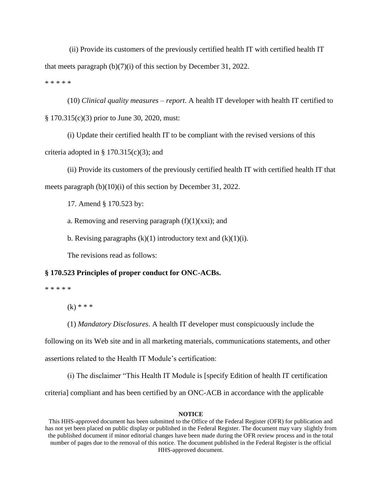(ii) Provide its customers of the previously certified health IT with certified health IT that meets paragraph (b)(7)(i) of this section by December 31, 2022. \* \* \* \* \*

(10) *Clinical quality measures – report*. A health IT developer with health IT certified to § 170.315(c)(3) prior to June 30, 2020, must:

(i) Update their certified health IT to be compliant with the revised versions of this criteria adopted in §  $170.315(c)(3)$ ; and

(ii) Provide its customers of the previously certified health IT with certified health IT that meets paragraph (b)(10)(i) of this section by December 31, 2022.

17. Amend § 170.523 by:

a. Removing and reserving paragraph  $(f)(1)(xx)$ ; and

b. Revising paragraphs  $(k)(1)$  introductory text and  $(k)(1)(i)$ .

The revisions read as follows:

# **§ 170.523 Principles of proper conduct for ONC-ACBs.**

\* \* \* \* \*

 $(k)$  \* \* \*

(1) *Mandatory Disclosures*. A health IT developer must conspicuously include the

following on its Web site and in all marketing materials, communications statements, and other

assertions related to the Health IT Module's certification:

(i) The disclaimer "This Health IT Module is [specify Edition of health IT certification

criteria] compliant and has been certified by an ONC-ACB in accordance with the applicable

## **NOTICE**

This HHS-approved document has been submitted to the Office of the Federal Register (OFR) for publication and has not yet been placed on public display or published in the Federal Register. The document may vary slightly from the published document if minor editorial changes have been made during the OFR review process and in the total number of pages due to the removal of this notice. The document published in the Federal Register is the official HHS-approved document.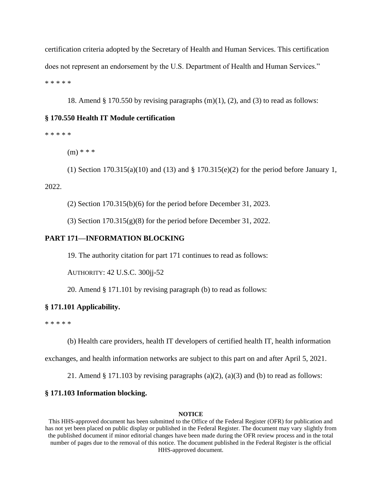certification criteria adopted by the Secretary of Health and Human Services. This certification does not represent an endorsement by the U.S. Department of Health and Human Services." \* \* \* \* \*

18. Amend  $\S 170.550$  by revising paragraphs  $(m)(1)$ ,  $(2)$ , and  $(3)$  to read as follows:

# **§ 170.550 Health IT Module certification**

\* \* \* \* \*

 $(m)$  \* \* \*

(1) Section  $170.315(a)(10)$  and  $(13)$  and  $\S 170.315(e)(2)$  for the period before January 1, 2022.

(2) Section 170.315(b)(6) for the period before December 31, 2023.

(3) Section  $170.315(g)(8)$  for the period before December 31, 2022.

# **PART 171—INFORMATION BLOCKING**

19. The authority citation for part 171 continues to read as follows:

AUTHORITY: 42 U.S.C. 300jj-52

20. Amend § 171.101 by revising paragraph (b) to read as follows:

## **§ 171.101 Applicability.**

\* \* \* \* \*

(b) Health care providers, health IT developers of certified health IT, health information

exchanges, and health information networks are subject to this part on and after April 5, 2021.

21. Amend  $\S 171.103$  by revising paragraphs (a)(2), (a)(3) and (b) to read as follows:

# **§ 171.103 Information blocking.**

# **NOTICE**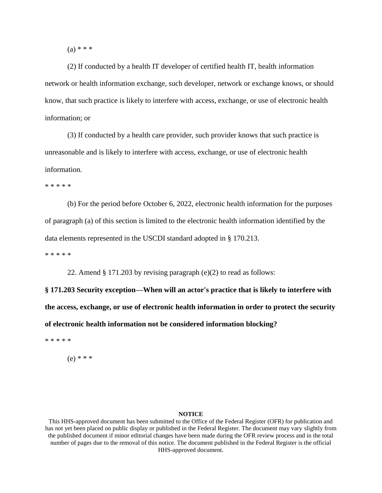$(a) * * *$ 

(2) If conducted by a health IT developer of certified health IT, health information network or health information exchange, such developer, network or exchange knows, or should know, that such practice is likely to interfere with access, exchange, or use of electronic health information; or

(3) If conducted by a health care provider, such provider knows that such practice is unreasonable and is likely to interfere with access, exchange, or use of electronic health information.

\* \* \* \* \*

(b) For the period before October 6, 2022, electronic health information for the purposes of paragraph (a) of this section is limited to the electronic health information identified by the data elements represented in the USCDI standard adopted in § 170.213.

\* \* \* \* \*

22. Amend § 171.203 by revising paragraph (e)(2) to read as follows:

**§ 171.203 Security exception—When will an actor's practice that is likely to interfere with the access, exchange, or use of electronic health information in order to protect the security of electronic health information not be considered information blocking?**

\* \* \* \* \*

(e) \* \* \*

## **NOTICE**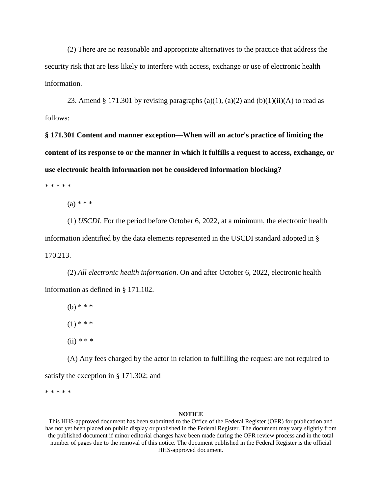(2) There are no reasonable and appropriate alternatives to the practice that address the security risk that are less likely to interfere with access, exchange or use of electronic health information.

23. Amend § 171.301 by revising paragraphs (a)(1), (a)(2) and (b)(1)(ii)(A) to read as follows:

**§ 171.301 Content and manner exception—When will an actor's practice of limiting the content of its response to or the manner in which it fulfills a request to access, exchange, or use electronic health information not be considered information blocking?**

\* \* \* \* \*

 $(a) * * *$ 

(1) *USCDI*. For the period before October 6, 2022, at a minimum, the electronic health information identified by the data elements represented in the USCDI standard adopted in § 170.213.

(2) *All electronic health information*. On and after October 6, 2022, electronic health information as defined in § 171.102.

 $(b)$  \* \* \*  $(1)$  \* \* \*  $(ii) * * * *$ 

(A) Any fees charged by the actor in relation to fulfilling the request are not required to satisfy the exception in § 171.302; and

\* \* \* \* \*

#### **NOTICE**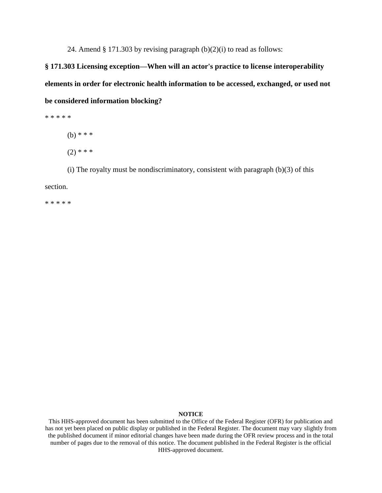24. Amend  $\S 171.303$  by revising paragraph  $(b)(2)(i)$  to read as follows:

**§ 171.303 Licensing exception—When will an actor's practice to license interoperability elements in order for electronic health information to be accessed, exchanged, or used not be considered information blocking?**

\* \* \* \* \*

(b) \* \* \*

 $(2)$  \* \* \*

(i) The royalty must be nondiscriminatory, consistent with paragraph  $(b)(3)$  of this section.

\* \* \* \* \*

#### **NOTICE**